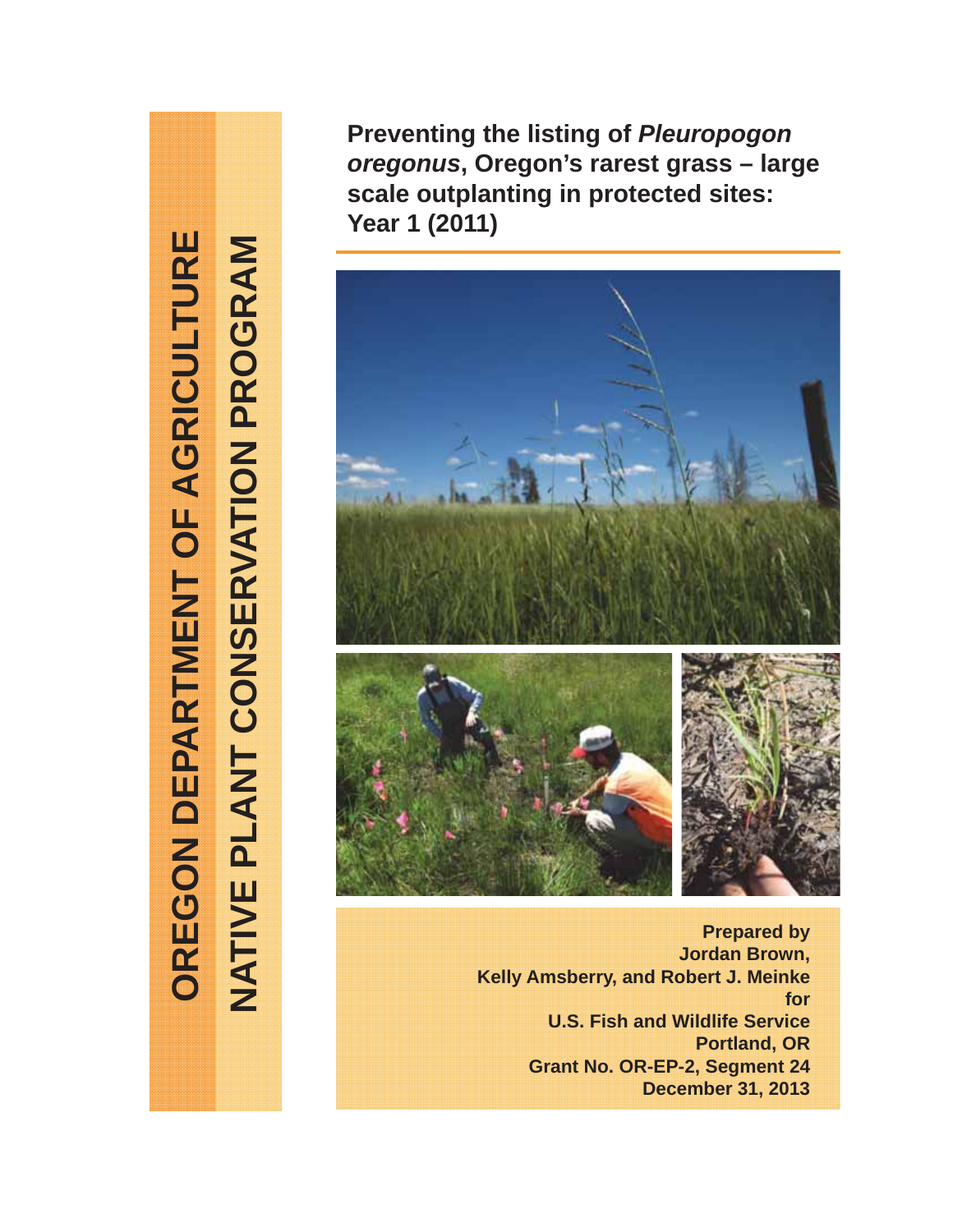OREGON DEPARTMENT OF AGRICULTURE **OREGON DEPARTMENT OF AGRICULTURE** NATIVE PLANT CONSERVATION PROGRAM **NATIVE PLANT CONSERVATION PROGRAM**

**Preventing the listing of** *Pleuropogon oregonus***, Oregon's rarest grass – large scale outplanting in protected sites: Year 1 (2011)**



**Prepared by Jordan Brown, Kelly Amsberry, and Robert J. Meinke for U.S. Fish and Wildlife Service Portland, OR Grant No. OR-EP-2, Segment 24 December 31, 2013**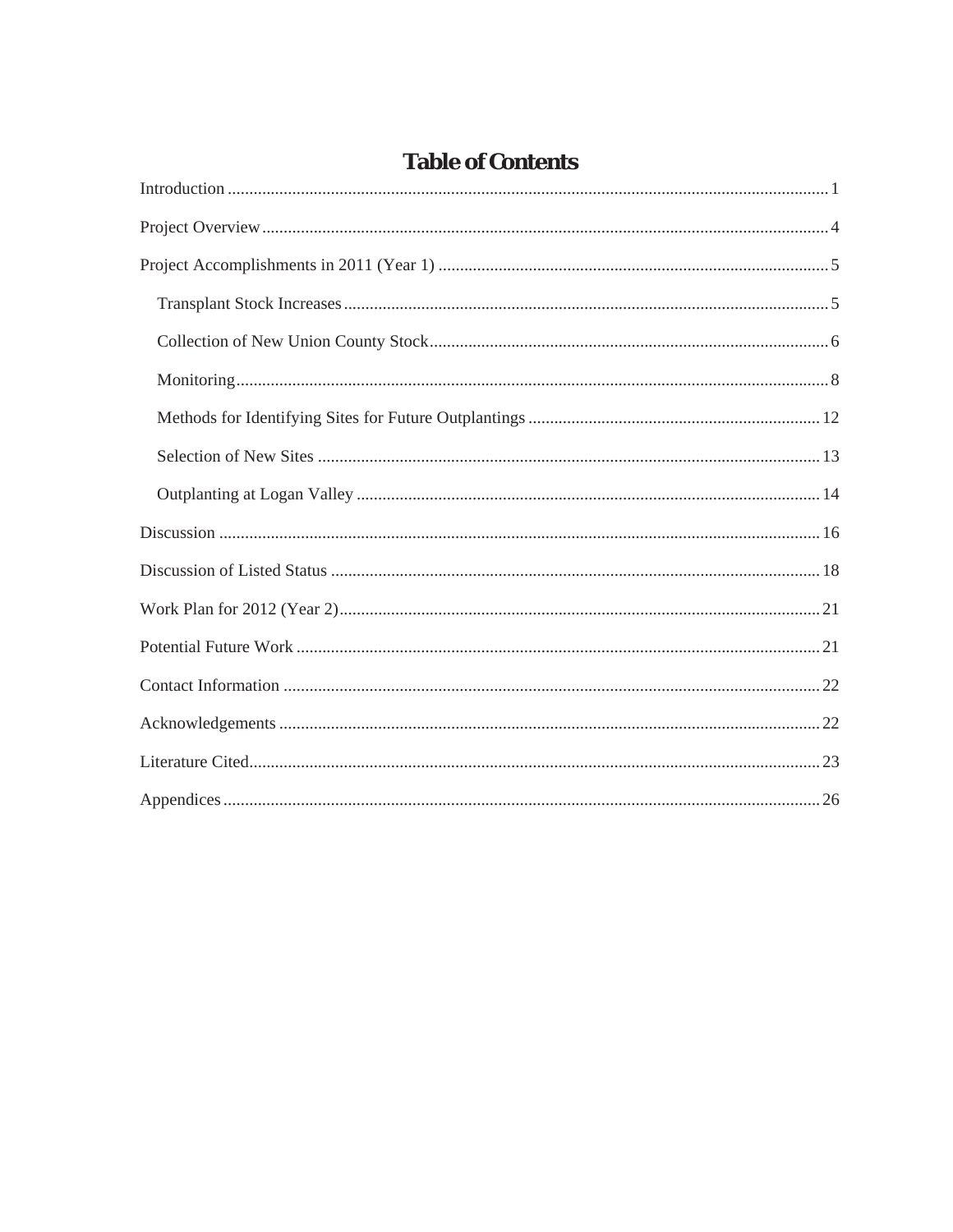# **Table of Contents**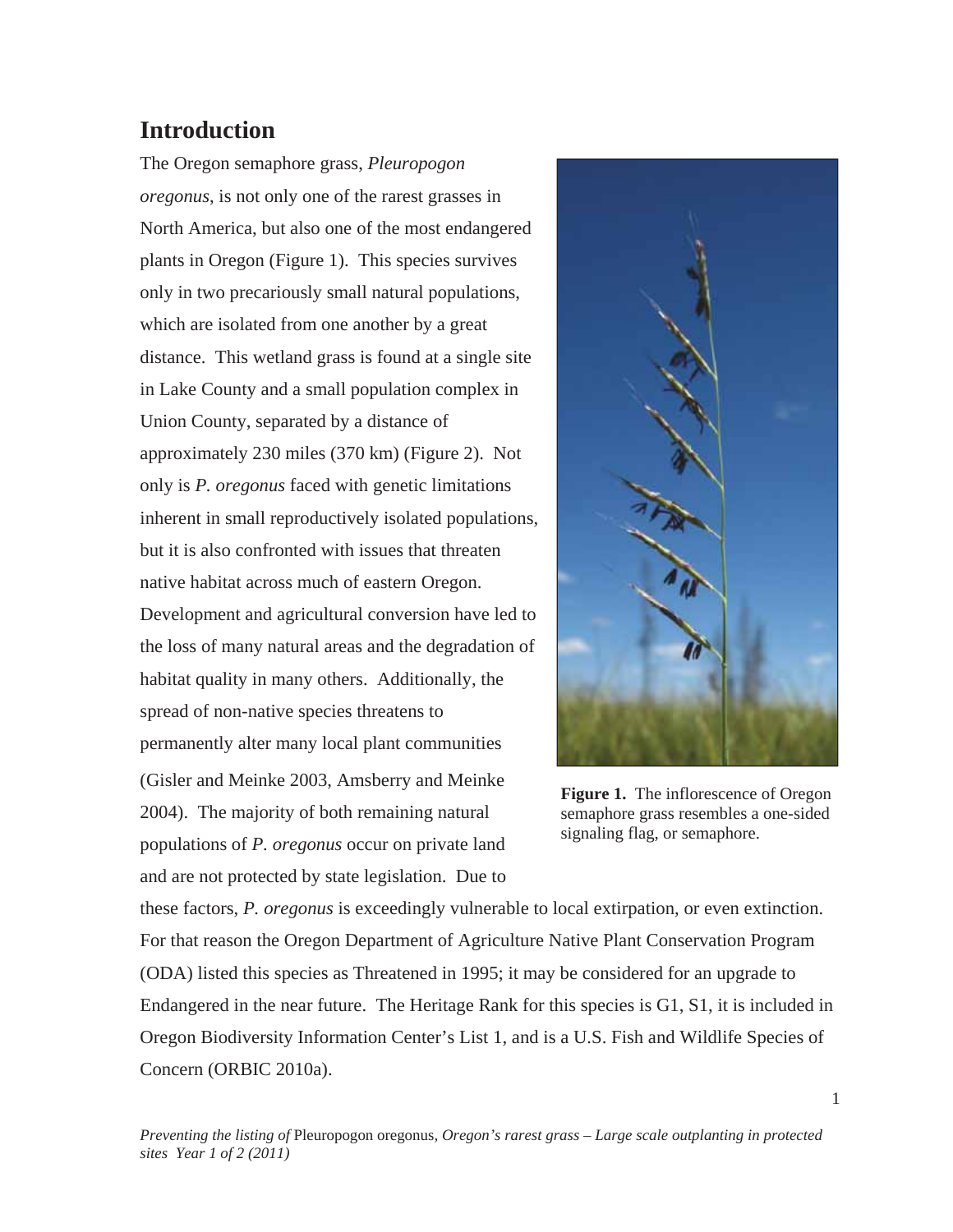# **Introduction**

The Oregon semaphore grass, *Pleuropogon oregonus*, is not only one of the rarest grasses in North America, but also one of the most endangered plants in Oregon (Figure 1). This species survives only in two precariously small natural populations, which are isolated from one another by a great distance. This wetland grass is found at a single site in Lake County and a small population complex in Union County, separated by a distance of approximately 230 miles (370 km) (Figure 2). Not only is *P. oregonus* faced with genetic limitations inherent in small reproductively isolated populations, but it is also confronted with issues that threaten native habitat across much of eastern Oregon. Development and agricultural conversion have led to the loss of many natural areas and the degradation of habitat quality in many others. Additionally, the spread of non-native species threatens to permanently alter many local plant communities (Gisler and Meinke 2003, Amsberry and Meinke 2004). The majority of both remaining natural populations of *P. oregonus* occur on private land and are not protected by state legislation. Due to



**Figure 1.** The inflorescence of Oregon semaphore grass resembles a one-sided signaling flag, or semaphore.

these factors, *P. oregonus* is exceedingly vulnerable to local extirpation, or even extinction. For that reason the Oregon Department of Agriculture Native Plant Conservation Program (ODA) listed this species as Threatened in 1995; it may be considered for an upgrade to Endangered in the near future. The Heritage Rank for this species is G1, S1, it is included in Oregon Biodiversity Information Center's List 1, and is a U.S. Fish and Wildlife Species of Concern (ORBIC 2010a).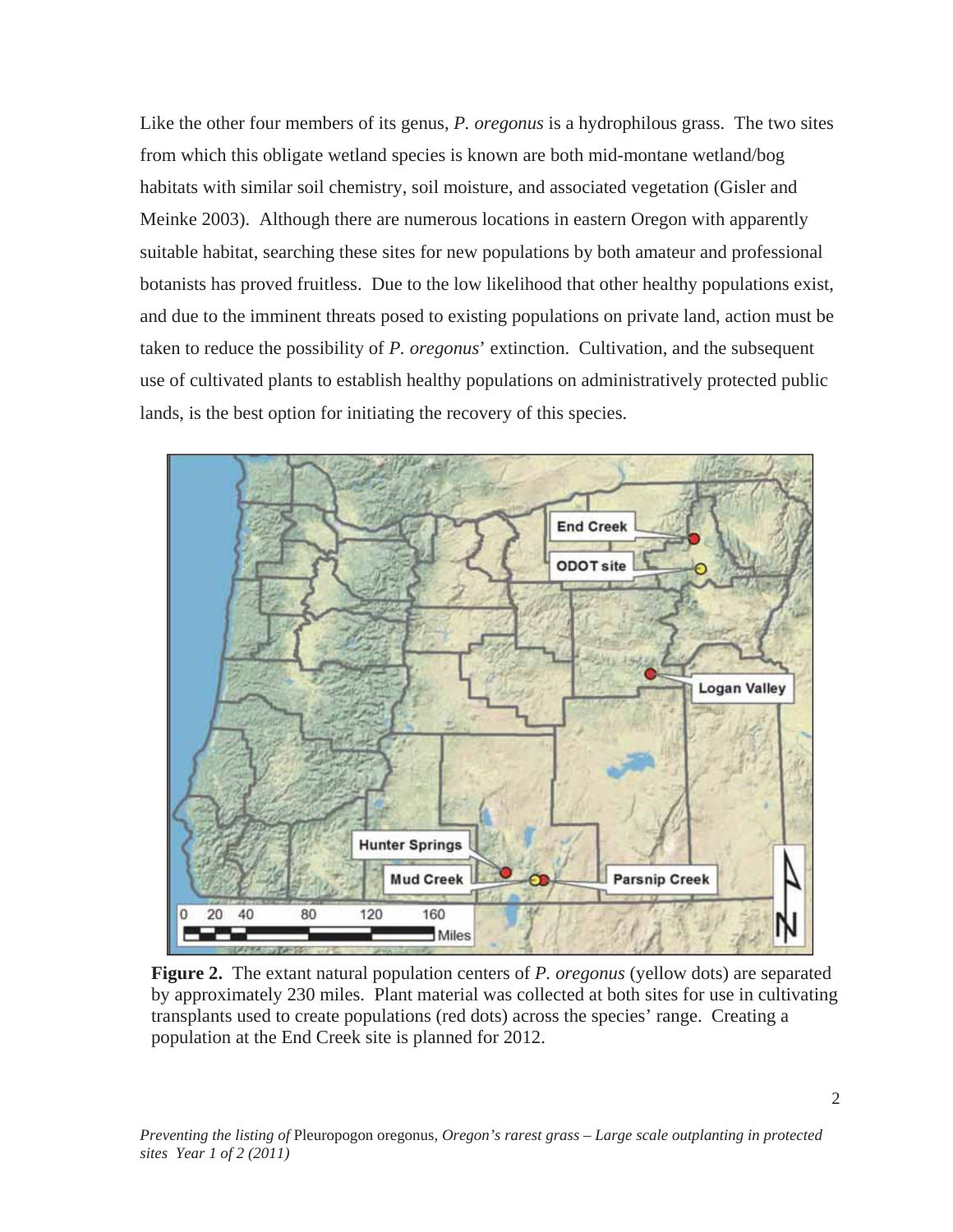Like the other four members of its genus, *P. oregonus* is a hydrophilous grass. The two sites from which this obligate wetland species is known are both mid-montane wetland/bog habitats with similar soil chemistry, soil moisture, and associated vegetation (Gisler and Meinke 2003). Although there are numerous locations in eastern Oregon with apparently suitable habitat, searching these sites for new populations by both amateur and professional botanists has proved fruitless. Due to the low likelihood that other healthy populations exist, and due to the imminent threats posed to existing populations on private land, action must be taken to reduce the possibility of *P. oregonus*' extinction. Cultivation, and the subsequent use of cultivated plants to establish healthy populations on administratively protected public lands, is the best option for initiating the recovery of this species.



**Figure 2.** The extant natural population centers of *P. oregonus* (yellow dots) are separated by approximately 230 miles. Plant material was collected at both sites for use in cultivating transplants used to create populations (red dots) across the species' range. Creating a population at the End Creek site is planned for 2012.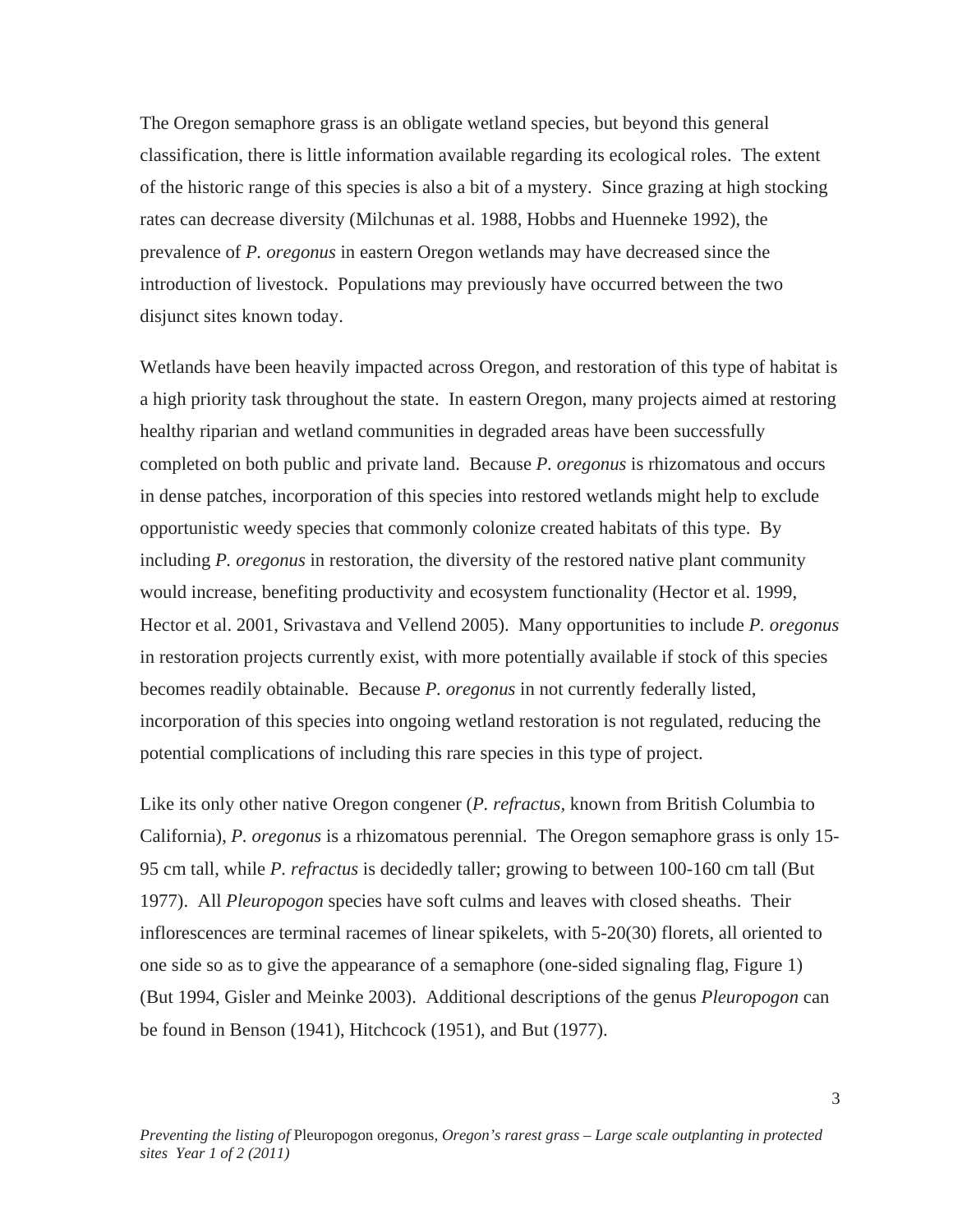The Oregon semaphore grass is an obligate wetland species, but beyond this general classification, there is little information available regarding its ecological roles. The extent of the historic range of this species is also a bit of a mystery. Since grazing at high stocking rates can decrease diversity (Milchunas et al. 1988, Hobbs and Huenneke 1992), the prevalence of *P. oregonus* in eastern Oregon wetlands may have decreased since the introduction of livestock. Populations may previously have occurred between the two disjunct sites known today.

Wetlands have been heavily impacted across Oregon, and restoration of this type of habitat is a high priority task throughout the state. In eastern Oregon, many projects aimed at restoring healthy riparian and wetland communities in degraded areas have been successfully completed on both public and private land. Because *P. oregonus* is rhizomatous and occurs in dense patches, incorporation of this species into restored wetlands might help to exclude opportunistic weedy species that commonly colonize created habitats of this type. By including *P. oregonus* in restoration, the diversity of the restored native plant community would increase, benefiting productivity and ecosystem functionality (Hector et al. 1999, Hector et al. 2001, Srivastava and Vellend 2005). Many opportunities to include *P. oregonus* in restoration projects currently exist, with more potentially available if stock of this species becomes readily obtainable. Because *P. oregonus* in not currently federally listed, incorporation of this species into ongoing wetland restoration is not regulated, reducing the potential complications of including this rare species in this type of project.

Like its only other native Oregon congener (*P. refractus,* known from British Columbia to California), *P. oregonus* is a rhizomatous perennial. The Oregon semaphore grass is only 15- 95 cm tall, while *P. refractus* is decidedly taller; growing to between 100-160 cm tall (But 1977). All *Pleuropogon* species have soft culms and leaves with closed sheaths. Their inflorescences are terminal racemes of linear spikelets, with 5-20(30) florets, all oriented to one side so as to give the appearance of a semaphore (one-sided signaling flag, Figure 1) (But 1994, Gisler and Meinke 2003). Additional descriptions of the genus *Pleuropogon* can be found in Benson (1941), Hitchcock (1951), and But (1977).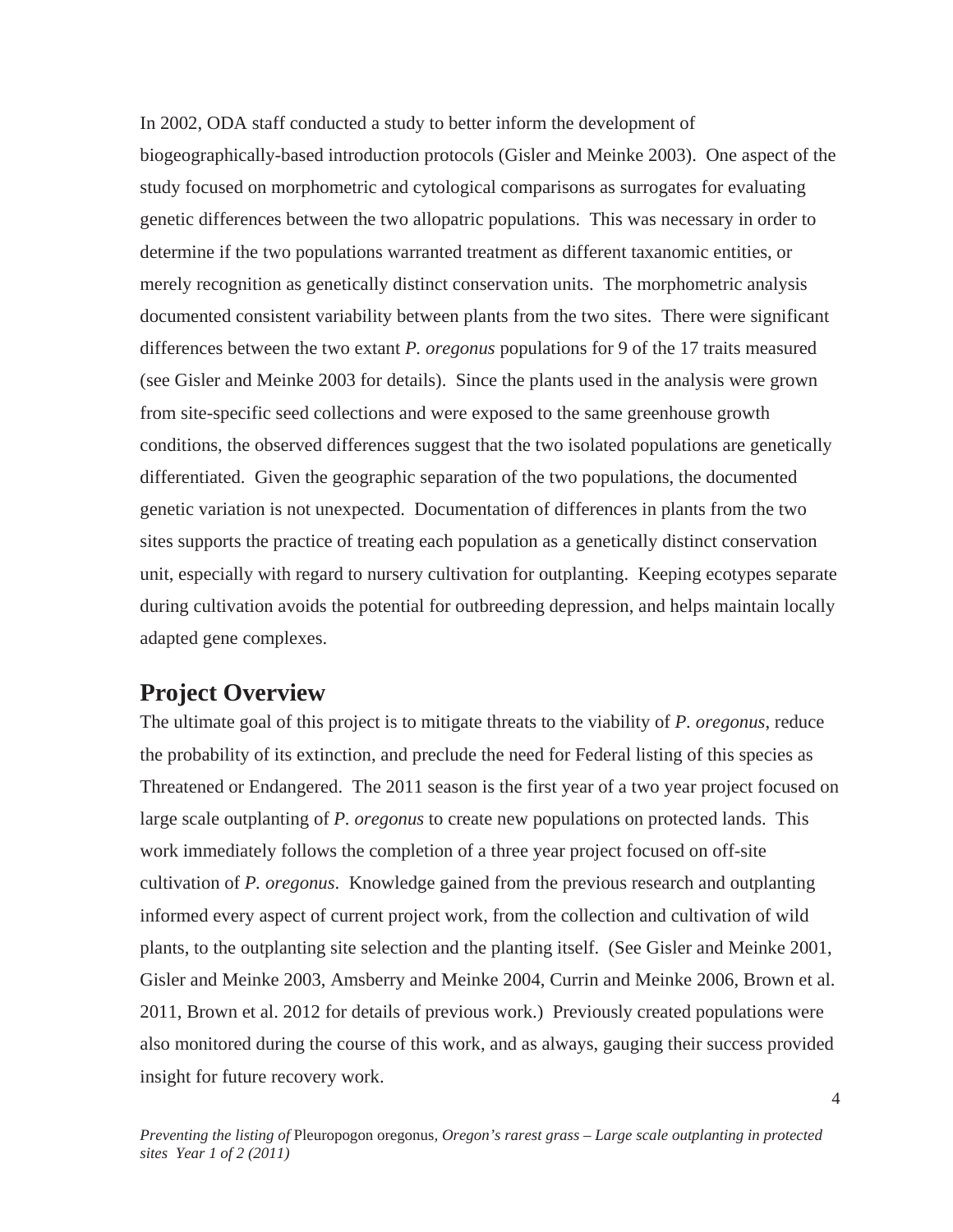In 2002, ODA staff conducted a study to better inform the development of biogeographically-based introduction protocols (Gisler and Meinke 2003). One aspect of the study focused on morphometric and cytological comparisons as surrogates for evaluating genetic differences between the two allopatric populations. This was necessary in order to determine if the two populations warranted treatment as different taxanomic entities, or merely recognition as genetically distinct conservation units. The morphometric analysis documented consistent variability between plants from the two sites. There were significant differences between the two extant *P. oregonus* populations for 9 of the 17 traits measured (see Gisler and Meinke 2003 for details). Since the plants used in the analysis were grown from site-specific seed collections and were exposed to the same greenhouse growth conditions, the observed differences suggest that the two isolated populations are genetically differentiated. Given the geographic separation of the two populations, the documented genetic variation is not unexpected. Documentation of differences in plants from the two sites supports the practice of treating each population as a genetically distinct conservation unit, especially with regard to nursery cultivation for outplanting. Keeping ecotypes separate during cultivation avoids the potential for outbreeding depression, and helps maintain locally adapted gene complexes.

### **Project Overview**

The ultimate goal of this project is to mitigate threats to the viability of *P. oregonus*, reduce the probability of its extinction, and preclude the need for Federal listing of this species as Threatened or Endangered. The 2011 season is the first year of a two year project focused on large scale outplanting of *P. oregonus* to create new populations on protected lands. This work immediately follows the completion of a three year project focused on off-site cultivation of *P. oregonus*. Knowledge gained from the previous research and outplanting informed every aspect of current project work, from the collection and cultivation of wild plants, to the outplanting site selection and the planting itself. (See Gisler and Meinke 2001, Gisler and Meinke 2003, Amsberry and Meinke 2004, Currin and Meinke 2006, Brown et al. 2011, Brown et al. 2012 for details of previous work.) Previously created populations were also monitored during the course of this work, and as always, gauging their success provided insight for future recovery work.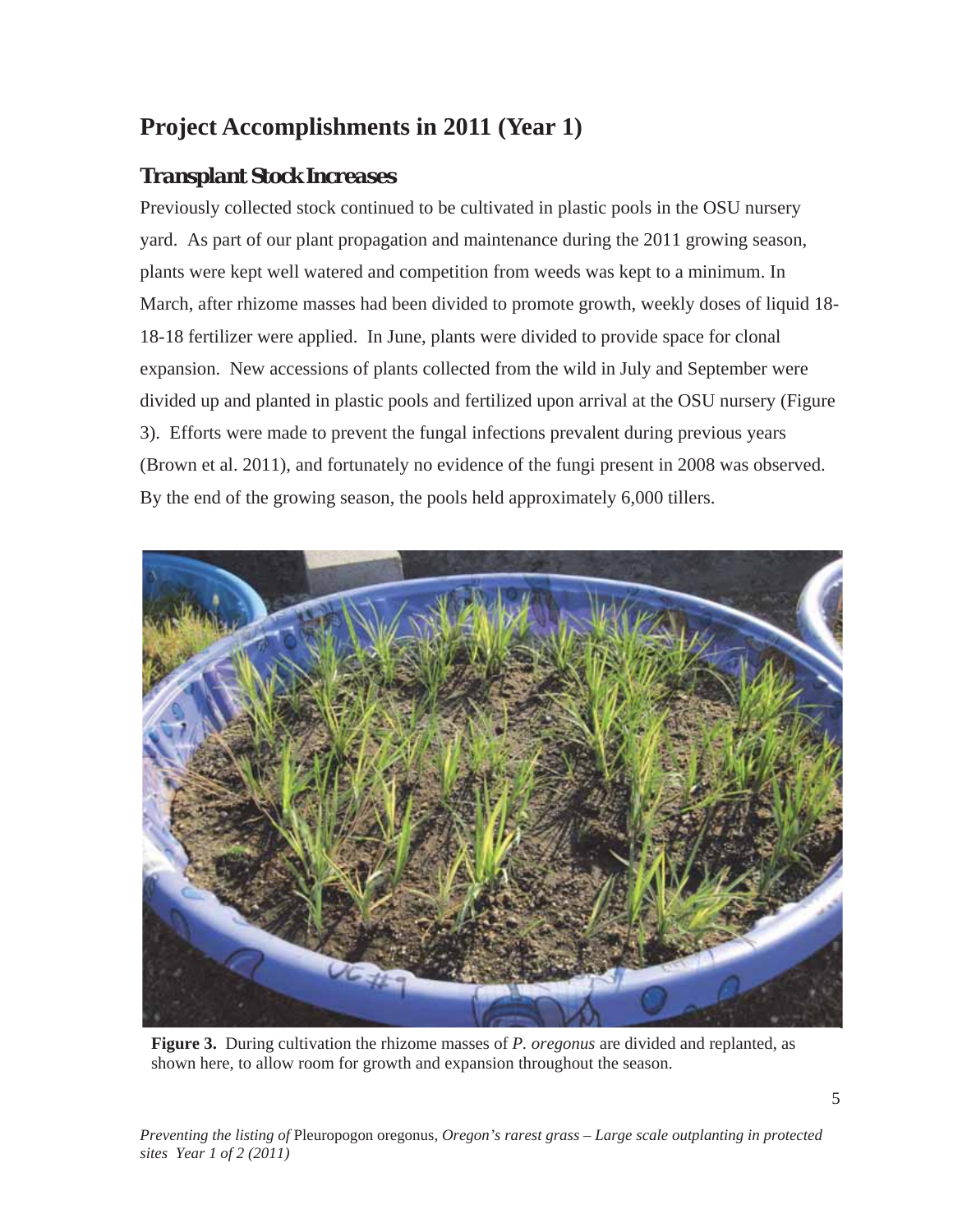# **Project Accomplishments in 2011 (Year 1)**

### *Transplant Stock Increases*

Previously collected stock continued to be cultivated in plastic pools in the OSU nursery yard. As part of our plant propagation and maintenance during the 2011 growing season, plants were kept well watered and competition from weeds was kept to a minimum. In March, after rhizome masses had been divided to promote growth, weekly doses of liquid 18- 18-18 fertilizer were applied. In June, plants were divided to provide space for clonal expansion. New accessions of plants collected from the wild in July and September were divided up and planted in plastic pools and fertilized upon arrival at the OSU nursery (Figure 3). Efforts were made to prevent the fungal infections prevalent during previous years (Brown et al. 2011), and fortunately no evidence of the fungi present in 2008 was observed. By the end of the growing season, the pools held approximately 6,000 tillers.



**Figure 3.** During cultivation the rhizome masses of *P. oregonus* are divided and replanted, as shown here, to allow room for growth and expansion throughout the season.

*Preventing the listing of* Pleuropogon oregonus*, Oregon's rarest grass – Large scale outplanting in protected sites Year 1 of 2 (2011)*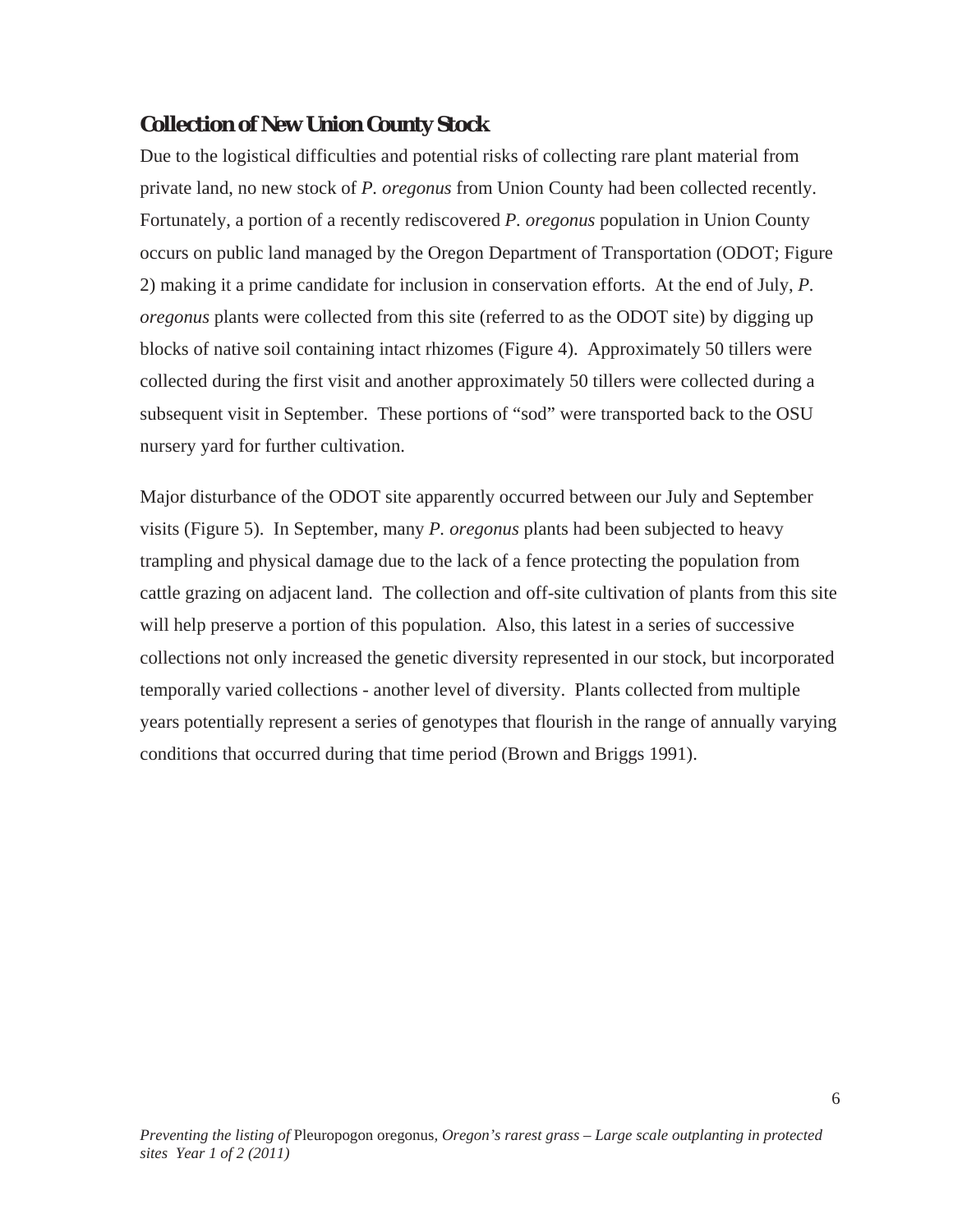### *Collection of New Union County Stock*

Due to the logistical difficulties and potential risks of collecting rare plant material from private land, no new stock of *P. oregonus* from Union County had been collected recently. Fortunately, a portion of a recently rediscovered *P. oregonus* population in Union County occurs on public land managed by the Oregon Department of Transportation (ODOT; Figure 2) making it a prime candidate for inclusion in conservation efforts. At the end of July, *P. oregonus* plants were collected from this site (referred to as the ODOT site) by digging up blocks of native soil containing intact rhizomes (Figure 4). Approximately 50 tillers were collected during the first visit and another approximately 50 tillers were collected during a subsequent visit in September. These portions of "sod" were transported back to the OSU nursery yard for further cultivation.

Major disturbance of the ODOT site apparently occurred between our July and September visits (Figure 5). In September, many *P. oregonus* plants had been subjected to heavy trampling and physical damage due to the lack of a fence protecting the population from cattle grazing on adjacent land. The collection and off-site cultivation of plants from this site will help preserve a portion of this population. Also, this latest in a series of successive collections not only increased the genetic diversity represented in our stock, but incorporated temporally varied collections - another level of diversity. Plants collected from multiple years potentially represent a series of genotypes that flourish in the range of annually varying conditions that occurred during that time period (Brown and Briggs 1991).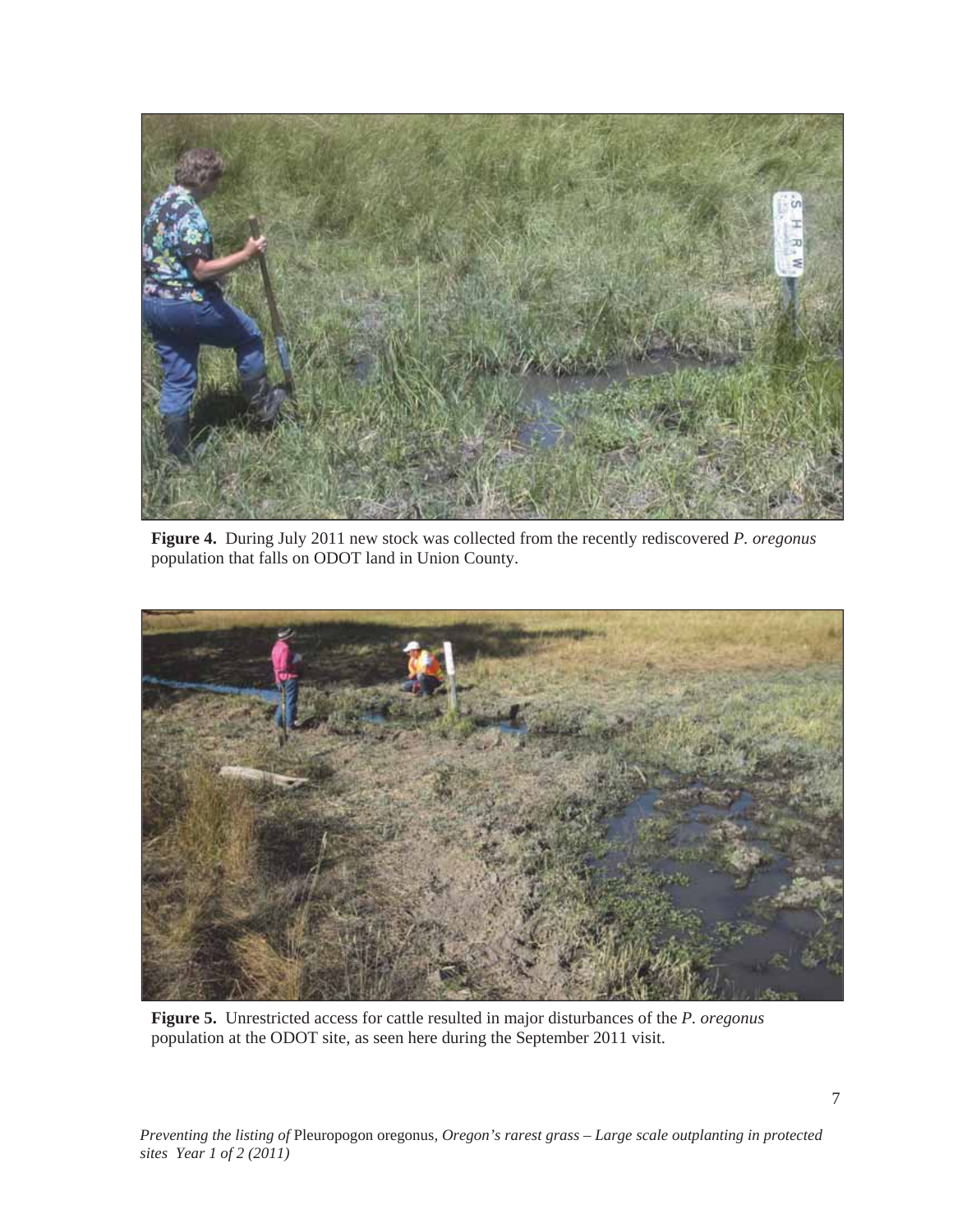

**Figure 4.** During July 2011 new stock was collected from the recently rediscovered *P. oregonus* population that falls on ODOT land in Union County.



**Figure 5.** Unrestricted access for cattle resulted in major disturbances of the *P. oregonus* population at the ODOT site, as seen here during the September 2011 visit.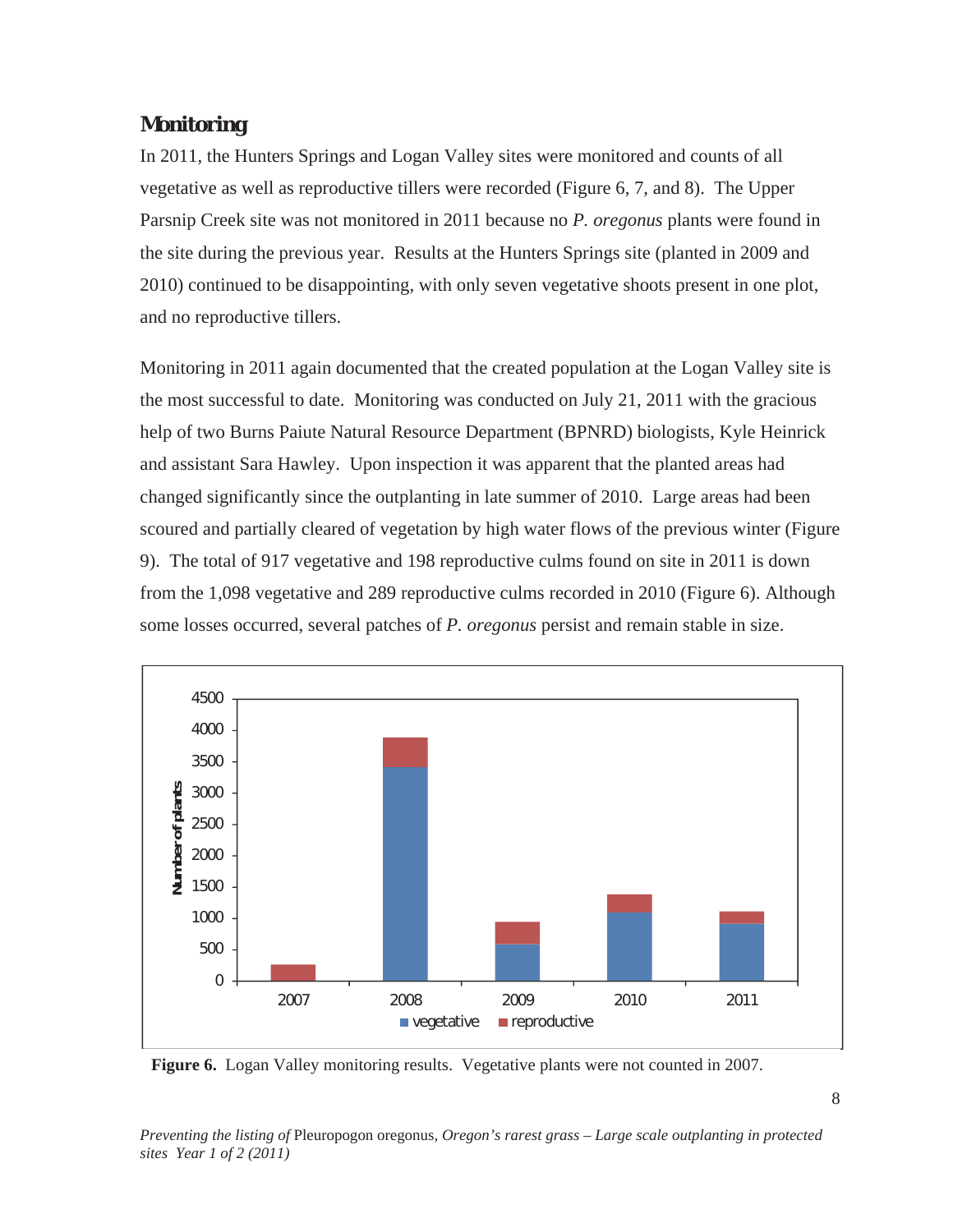### *Monitoring*

In 2011, the Hunters Springs and Logan Valley sites were monitored and counts of all vegetative as well as reproductive tillers were recorded (Figure 6, 7, and 8). The Upper Parsnip Creek site was not monitored in 2011 because no *P. oregonus* plants were found in the site during the previous year. Results at the Hunters Springs site (planted in 2009 and 2010) continued to be disappointing, with only seven vegetative shoots present in one plot, and no reproductive tillers.

Monitoring in 2011 again documented that the created population at the Logan Valley site is the most successful to date. Monitoring was conducted on July 21, 2011 with the gracious help of two Burns Paiute Natural Resource Department (BPNRD) biologists, Kyle Heinrick and assistant Sara Hawley. Upon inspection it was apparent that the planted areas had changed significantly since the outplanting in late summer of 2010. Large areas had been scoured and partially cleared of vegetation by high water flows of the previous winter (Figure 9). The total of 917 vegetative and 198 reproductive culms found on site in 2011 is down from the 1,098 vegetative and 289 reproductive culms recorded in 2010 (Figure 6). Although some losses occurred, several patches of *P. oregonus* persist and remain stable in size.



**Figure 6.** Logan Valley monitoring results. Vegetative plants were not counted in 2007.

*Preventing the listing of* Pleuropogon oregonus*, Oregon's rarest grass – Large scale outplanting in protected sites Year 1 of 2 (2011)*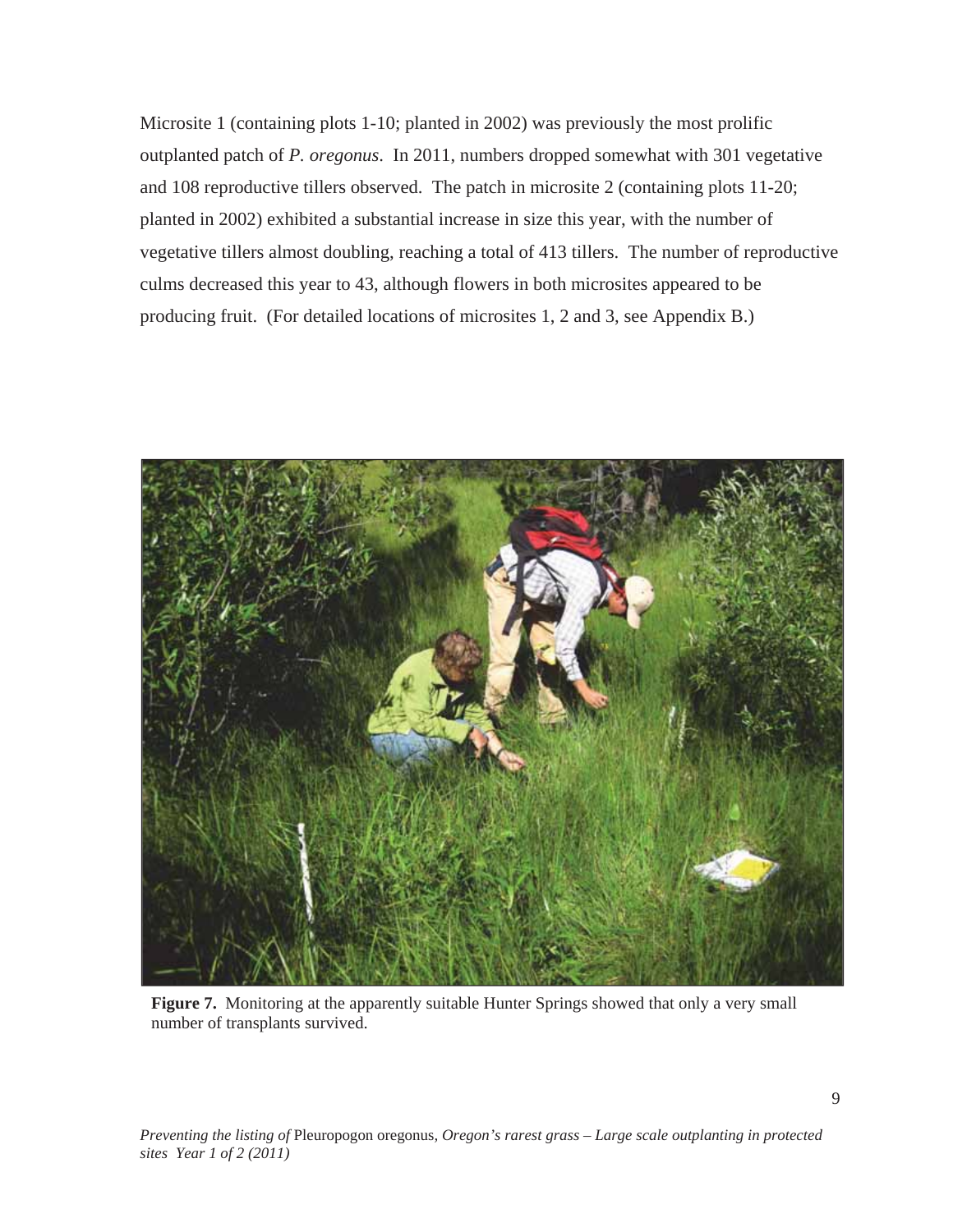Microsite 1 (containing plots 1-10; planted in 2002) was previously the most prolific outplanted patch of *P. oregonus*. In 2011, numbers dropped somewhat with 301 vegetative and 108 reproductive tillers observed. The patch in microsite 2 (containing plots 11-20; planted in 2002) exhibited a substantial increase in size this year, with the number of vegetative tillers almost doubling, reaching a total of 413 tillers. The number of reproductive culms decreased this year to 43, although flowers in both microsites appeared to be producing fruit. (For detailed locations of microsites 1, 2 and 3, see Appendix B.)



Figure 7. Monitoring at the apparently suitable Hunter Springs showed that only a very small number of transplants survived.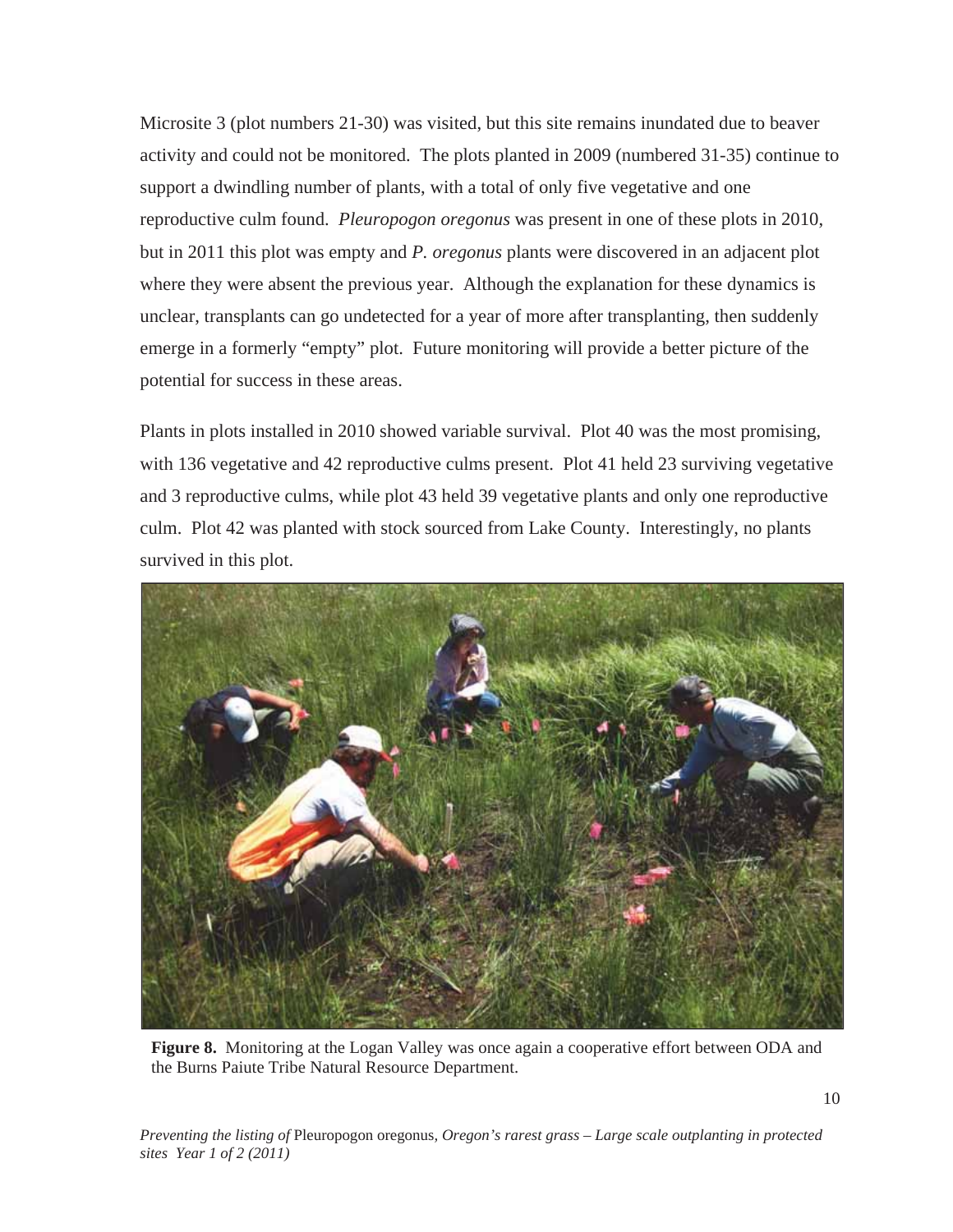Microsite 3 (plot numbers 21-30) was visited, but this site remains inundated due to beaver activity and could not be monitored. The plots planted in 2009 (numbered 31-35) continue to support a dwindling number of plants, with a total of only five vegetative and one reproductive culm found. *Pleuropogon oregonus* was present in one of these plots in 2010, but in 2011 this plot was empty and *P. oregonus* plants were discovered in an adjacent plot where they were absent the previous year. Although the explanation for these dynamics is unclear, transplants can go undetected for a year of more after transplanting, then suddenly emerge in a formerly "empty" plot. Future monitoring will provide a better picture of the potential for success in these areas.

Plants in plots installed in 2010 showed variable survival. Plot 40 was the most promising, with 136 vegetative and 42 reproductive culms present. Plot 41 held 23 surviving vegetative and 3 reproductive culms, while plot 43 held 39 vegetative plants and only one reproductive culm. Plot 42 was planted with stock sourced from Lake County. Interestingly, no plants survived in this plot.



**Figure 8.** Monitoring at the Logan Valley was once again a cooperative effort between ODA and the Burns Paiute Tribe Natural Resource Department.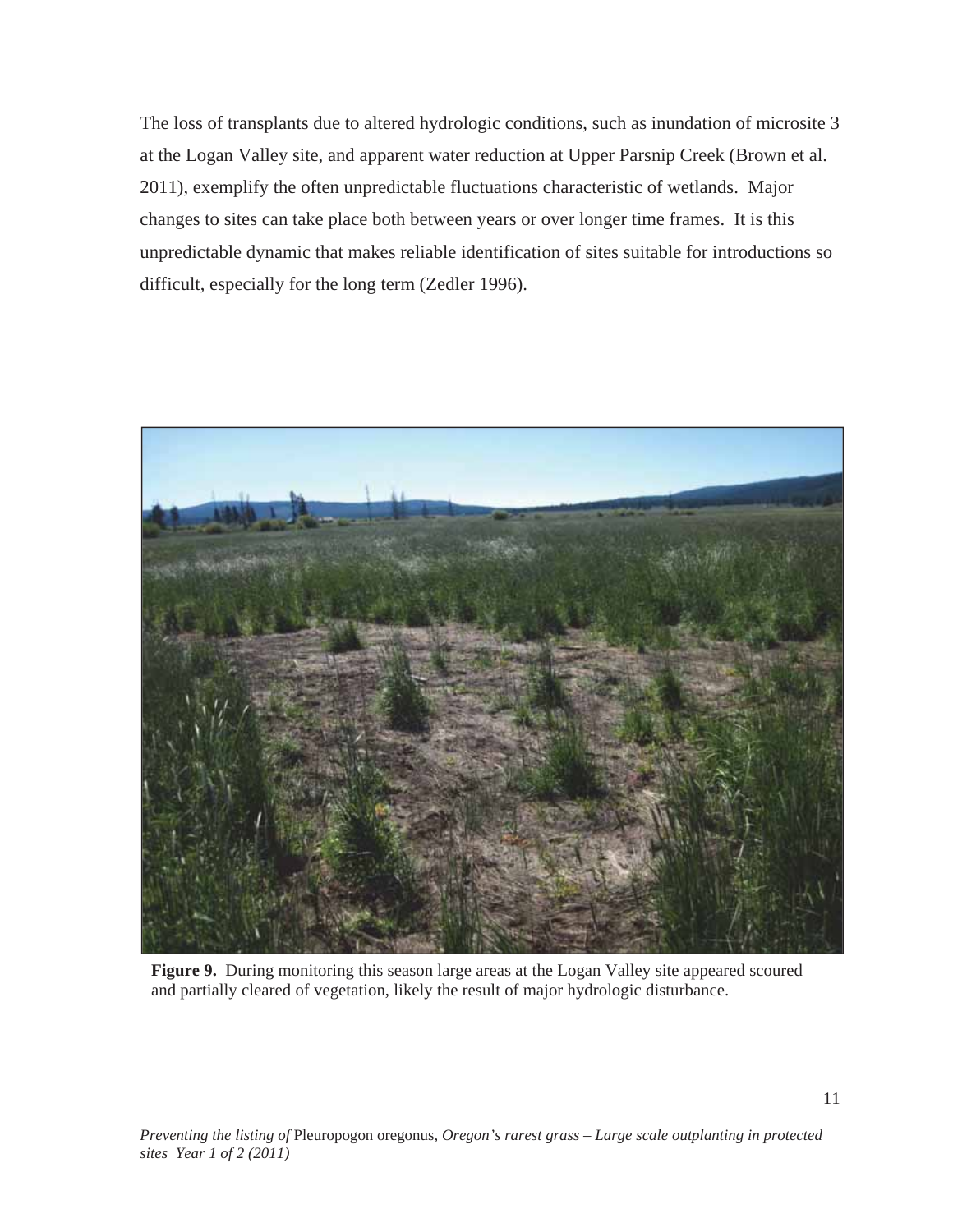The loss of transplants due to altered hydrologic conditions, such as inundation of microsite 3 at the Logan Valley site, and apparent water reduction at Upper Parsnip Creek (Brown et al. 2011), exemplify the often unpredictable fluctuations characteristic of wetlands. Major changes to sites can take place both between years or over longer time frames. It is this unpredictable dynamic that makes reliable identification of sites suitable for introductions so difficult, especially for the long term (Zedler 1996).



**Figure 9.** During monitoring this season large areas at the Logan Valley site appeared scoured and partially cleared of vegetation, likely the result of major hydrologic disturbance.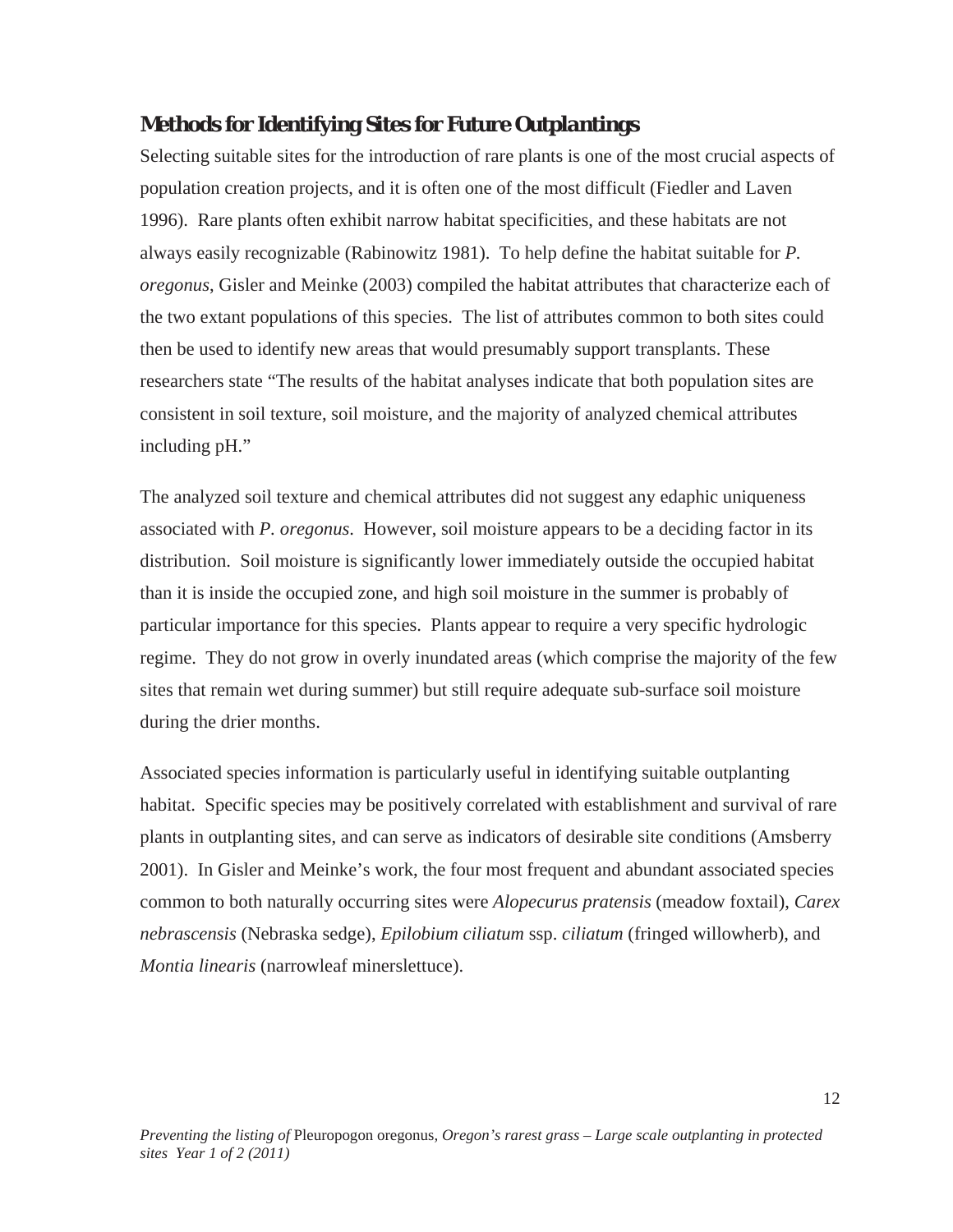#### *Methods for Identifying Sites for Future Outplantings*

Selecting suitable sites for the introduction of rare plants is one of the most crucial aspects of population creation projects, and it is often one of the most difficult (Fiedler and Laven 1996). Rare plants often exhibit narrow habitat specificities, and these habitats are not always easily recognizable (Rabinowitz 1981). To help define the habitat suitable for *P. oregonus*, Gisler and Meinke (2003) compiled the habitat attributes that characterize each of the two extant populations of this species. The list of attributes common to both sites could then be used to identify new areas that would presumably support transplants. These researchers state "The results of the habitat analyses indicate that both population sites are consistent in soil texture, soil moisture, and the majority of analyzed chemical attributes including pH."

The analyzed soil texture and chemical attributes did not suggest any edaphic uniqueness associated with *P. oregonus*. However, soil moisture appears to be a deciding factor in its distribution. Soil moisture is significantly lower immediately outside the occupied habitat than it is inside the occupied zone, and high soil moisture in the summer is probably of particular importance for this species. Plants appear to require a very specific hydrologic regime. They do not grow in overly inundated areas (which comprise the majority of the few sites that remain wet during summer) but still require adequate sub-surface soil moisture during the drier months.

Associated species information is particularly useful in identifying suitable outplanting habitat. Specific species may be positively correlated with establishment and survival of rare plants in outplanting sites, and can serve as indicators of desirable site conditions (Amsberry 2001). In Gisler and Meinke's work, the four most frequent and abundant associated species common to both naturally occurring sites were *Alopecurus pratensis* (meadow foxtail), *Carex nebrascensis* (Nebraska sedge), *Epilobium ciliatum* ssp. *ciliatum* (fringed willowherb), and *Montia linearis* (narrowleaf minerslettuce).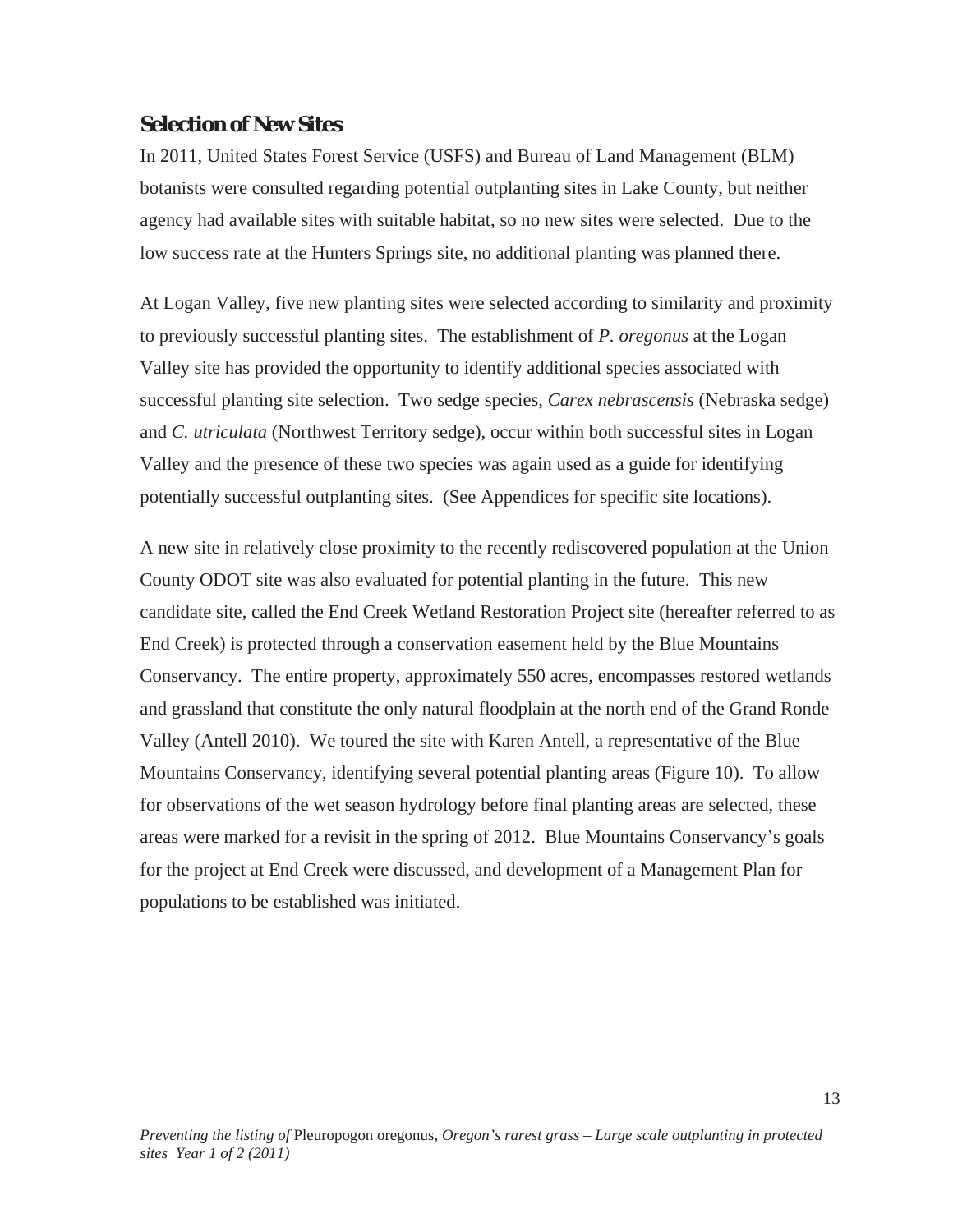#### *Selection of New Sites*

In 2011, United States Forest Service (USFS) and Bureau of Land Management (BLM) botanists were consulted regarding potential outplanting sites in Lake County, but neither agency had available sites with suitable habitat, so no new sites were selected. Due to the low success rate at the Hunters Springs site, no additional planting was planned there.

At Logan Valley, five new planting sites were selected according to similarity and proximity to previously successful planting sites. The establishment of *P. oregonus* at the Logan Valley site has provided the opportunity to identify additional species associated with successful planting site selection. Two sedge species, *Carex nebrascensis* (Nebraska sedge) and *C. utriculata* (Northwest Territory sedge), occur within both successful sites in Logan Valley and the presence of these two species was again used as a guide for identifying potentially successful outplanting sites. (See Appendices for specific site locations).

A new site in relatively close proximity to the recently rediscovered population at the Union County ODOT site was also evaluated for potential planting in the future. This new candidate site, called the End Creek Wetland Restoration Project site (hereafter referred to as End Creek) is protected through a conservation easement held by the Blue Mountains Conservancy. The entire property, approximately 550 acres, encompasses restored wetlands and grassland that constitute the only natural floodplain at the north end of the Grand Ronde Valley (Antell 2010). We toured the site with Karen Antell, a representative of the Blue Mountains Conservancy, identifying several potential planting areas (Figure 10). To allow for observations of the wet season hydrology before final planting areas are selected, these areas were marked for a revisit in the spring of 2012. Blue Mountains Conservancy's goals for the project at End Creek were discussed, and development of a Management Plan for populations to be established was initiated.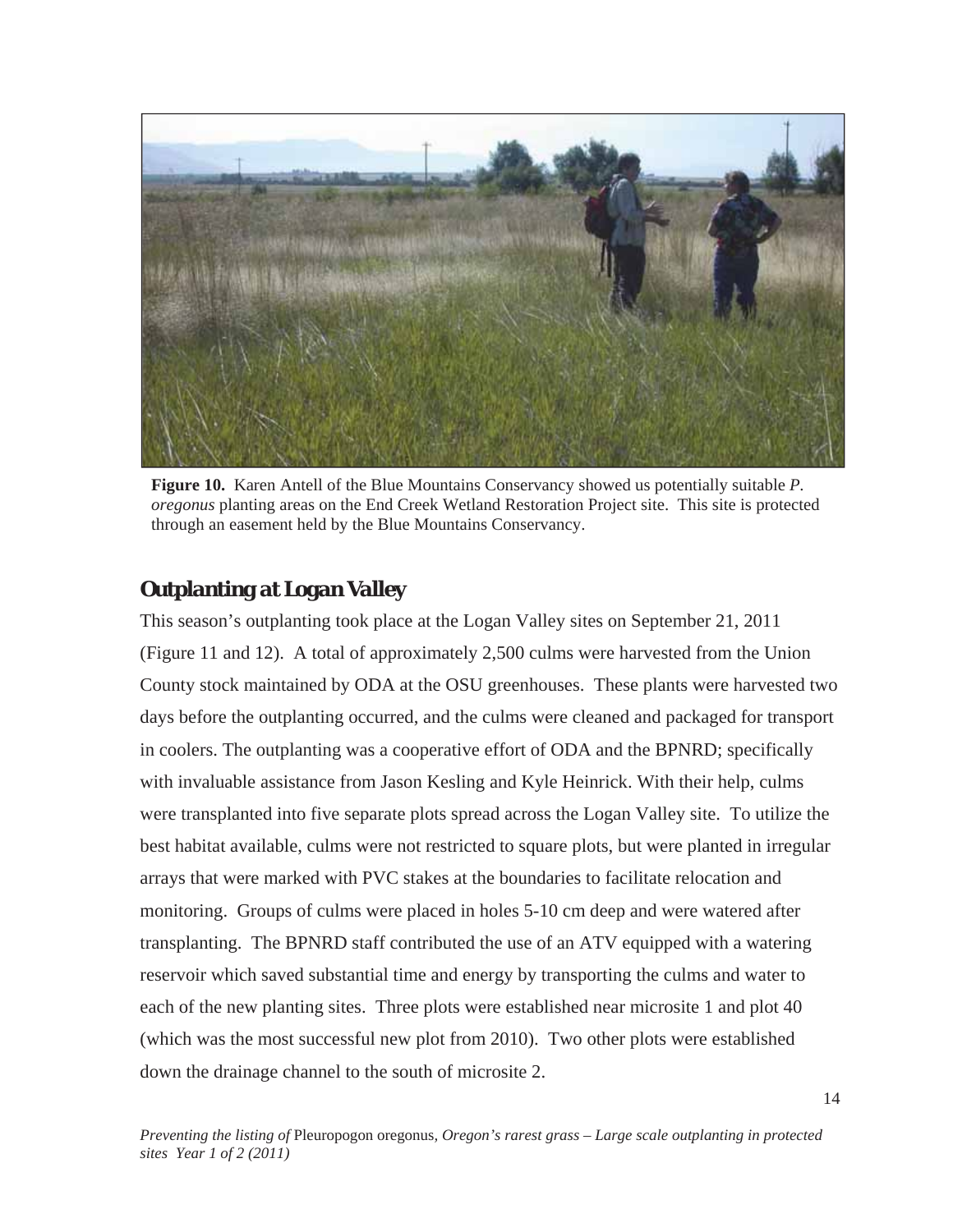

**Figure 10.** Karen Antell of the Blue Mountains Conservancy showed us potentially suitable *P. oregonus* planting areas on the End Creek Wetland Restoration Project site. This site is protected through an easement held by the Blue Mountains Conservancy.

### *Outplanting at Logan Valley*

This season's outplanting took place at the Logan Valley sites on September 21, 2011 (Figure 11 and 12). A total of approximately 2,500 culms were harvested from the Union County stock maintained by ODA at the OSU greenhouses. These plants were harvested two days before the outplanting occurred, and the culms were cleaned and packaged for transport in coolers. The outplanting was a cooperative effort of ODA and the BPNRD; specifically with invaluable assistance from Jason Kesling and Kyle Heinrick. With their help, culms were transplanted into five separate plots spread across the Logan Valley site. To utilize the best habitat available, culms were not restricted to square plots, but were planted in irregular arrays that were marked with PVC stakes at the boundaries to facilitate relocation and monitoring. Groups of culms were placed in holes 5-10 cm deep and were watered after transplanting. The BPNRD staff contributed the use of an ATV equipped with a watering reservoir which saved substantial time and energy by transporting the culms and water to each of the new planting sites. Three plots were established near microsite 1 and plot 40 (which was the most successful new plot from 2010). Two other plots were established down the drainage channel to the south of microsite 2.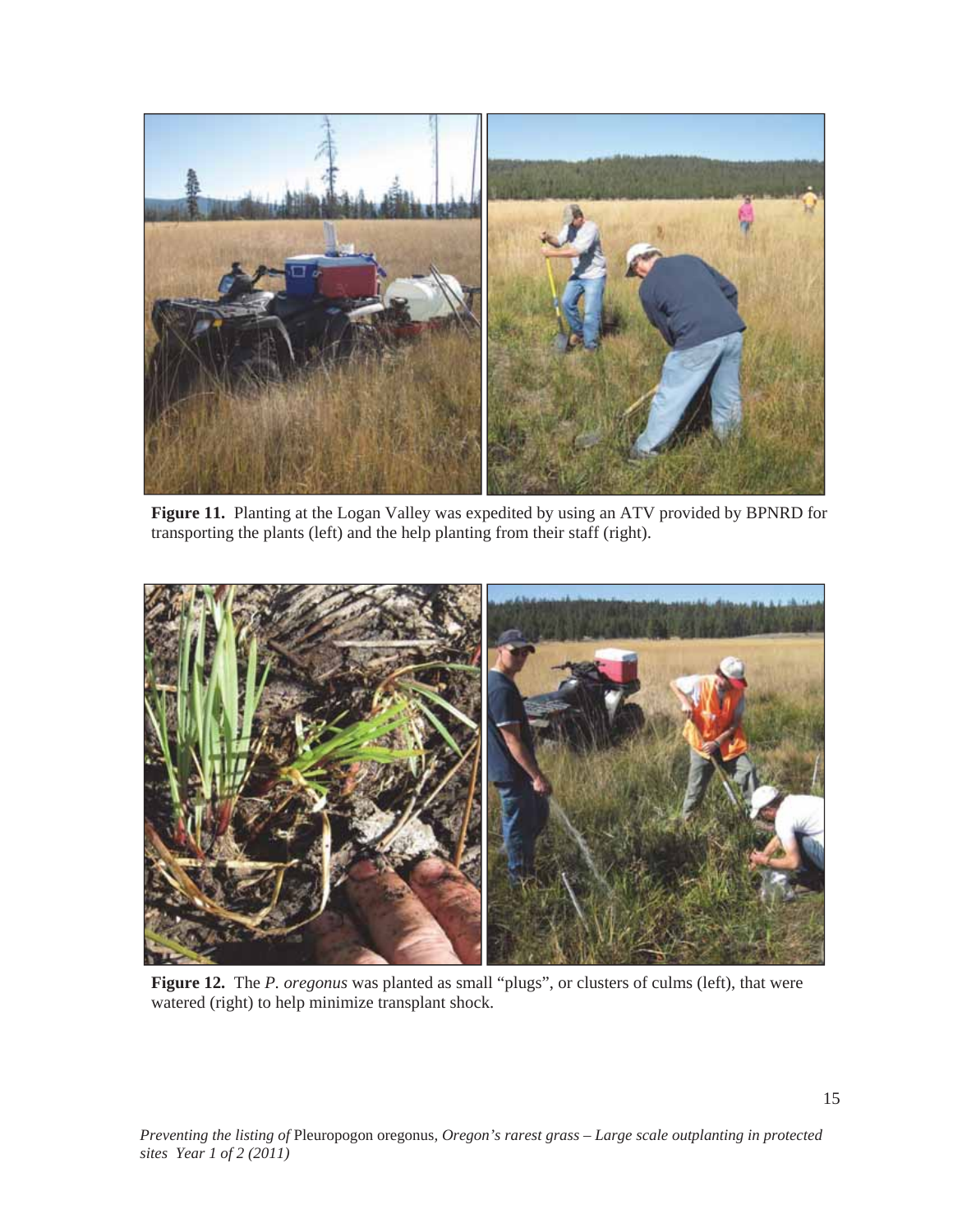

**Figure 11.** Planting at the Logan Valley was expedited by using an ATV provided by BPNRD for transporting the plants (left) and the help planting from their staff (right).



**Figure 12.** The *P. oregonus* was planted as small "plugs", or clusters of culms (left), that were watered (right) to help minimize transplant shock.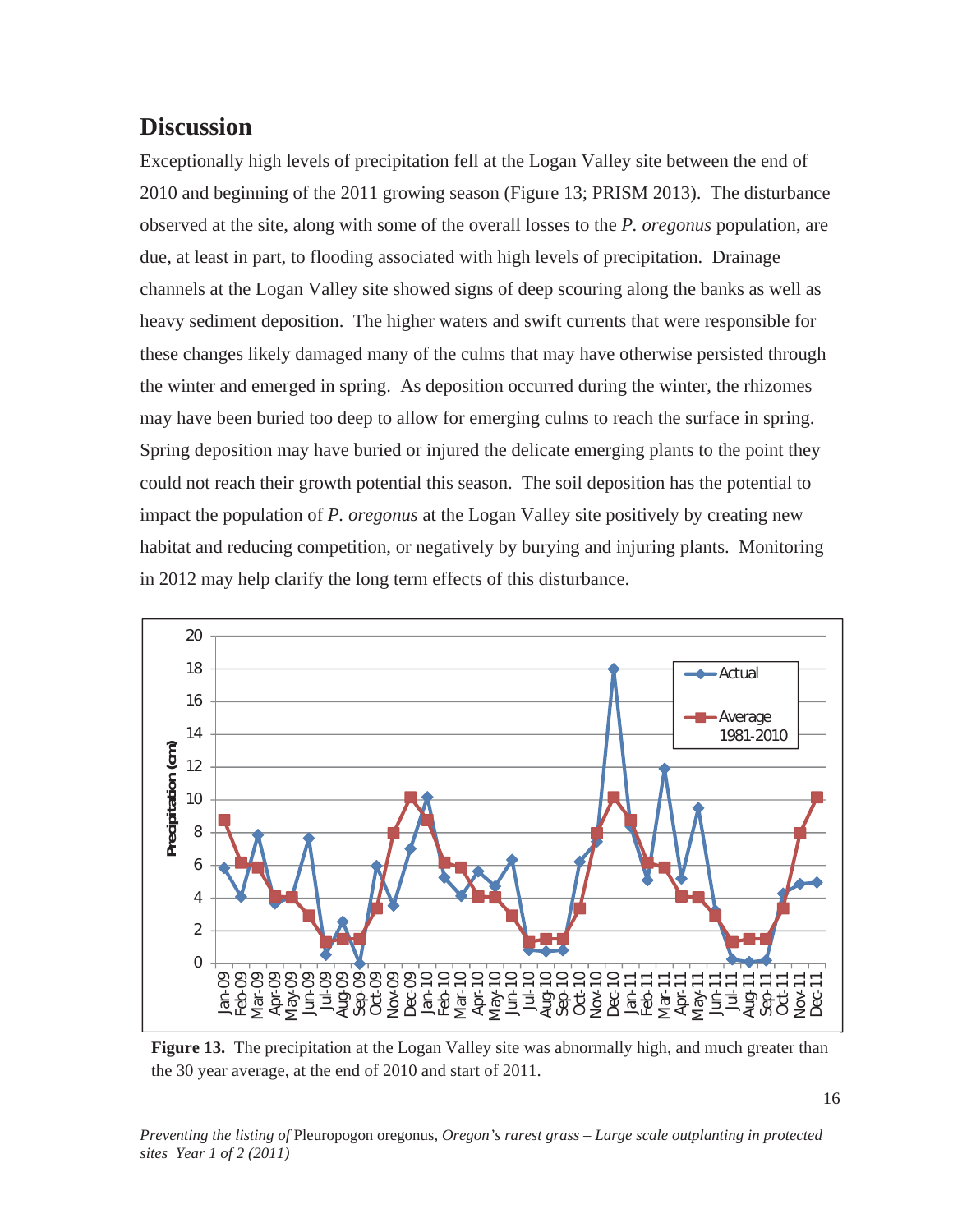### **Discussion**

Exceptionally high levels of precipitation fell at the Logan Valley site between the end of 2010 and beginning of the 2011 growing season (Figure 13; PRISM 2013). The disturbance observed at the site, along with some of the overall losses to the *P. oregonus* population, are due, at least in part, to flooding associated with high levels of precipitation. Drainage channels at the Logan Valley site showed signs of deep scouring along the banks as well as heavy sediment deposition. The higher waters and swift currents that were responsible for these changes likely damaged many of the culms that may have otherwise persisted through the winter and emerged in spring. As deposition occurred during the winter, the rhizomes may have been buried too deep to allow for emerging culms to reach the surface in spring. Spring deposition may have buried or injured the delicate emerging plants to the point they could not reach their growth potential this season. The soil deposition has the potential to impact the population of *P. oregonus* at the Logan Valley site positively by creating new habitat and reducing competition, or negatively by burying and injuring plants. Monitoring in 2012 may help clarify the long term effects of this disturbance.



**Figure 13.** The precipitation at the Logan Valley site was abnormally high, and much greater than the 30 year average, at the end of 2010 and start of 2011.

*Preventing the listing of* Pleuropogon oregonus*, Oregon's rarest grass – Large scale outplanting in protected sites Year 1 of 2 (2011)*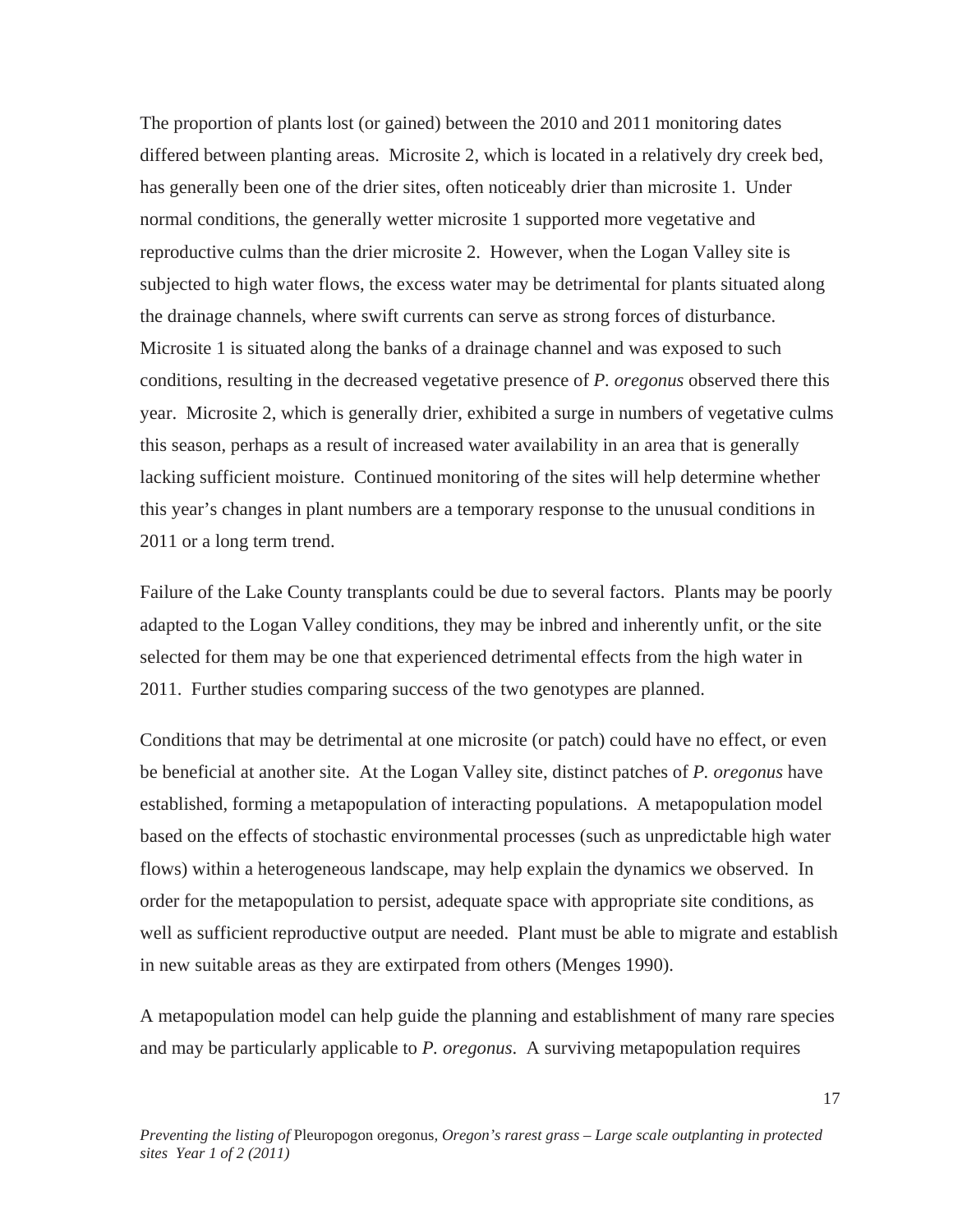The proportion of plants lost (or gained) between the 2010 and 2011 monitoring dates differed between planting areas. Microsite 2, which is located in a relatively dry creek bed, has generally been one of the drier sites, often noticeably drier than microsite 1. Under normal conditions, the generally wetter microsite 1 supported more vegetative and reproductive culms than the drier microsite 2. However, when the Logan Valley site is subjected to high water flows, the excess water may be detrimental for plants situated along the drainage channels, where swift currents can serve as strong forces of disturbance. Microsite 1 is situated along the banks of a drainage channel and was exposed to such conditions, resulting in the decreased vegetative presence of *P. oregonus* observed there this year. Microsite 2, which is generally drier, exhibited a surge in numbers of vegetative culms this season, perhaps as a result of increased water availability in an area that is generally lacking sufficient moisture. Continued monitoring of the sites will help determine whether this year's changes in plant numbers are a temporary response to the unusual conditions in 2011 or a long term trend.

Failure of the Lake County transplants could be due to several factors. Plants may be poorly adapted to the Logan Valley conditions, they may be inbred and inherently unfit, or the site selected for them may be one that experienced detrimental effects from the high water in 2011. Further studies comparing success of the two genotypes are planned.

Conditions that may be detrimental at one microsite (or patch) could have no effect, or even be beneficial at another site. At the Logan Valley site, distinct patches of *P. oregonus* have established, forming a metapopulation of interacting populations. A metapopulation model based on the effects of stochastic environmental processes (such as unpredictable high water flows) within a heterogeneous landscape, may help explain the dynamics we observed. In order for the metapopulation to persist, adequate space with appropriate site conditions, as well as sufficient reproductive output are needed. Plant must be able to migrate and establish in new suitable areas as they are extirpated from others (Menges 1990).

A metapopulation model can help guide the planning and establishment of many rare species and may be particularly applicable to *P. oregonus*. A surviving metapopulation requires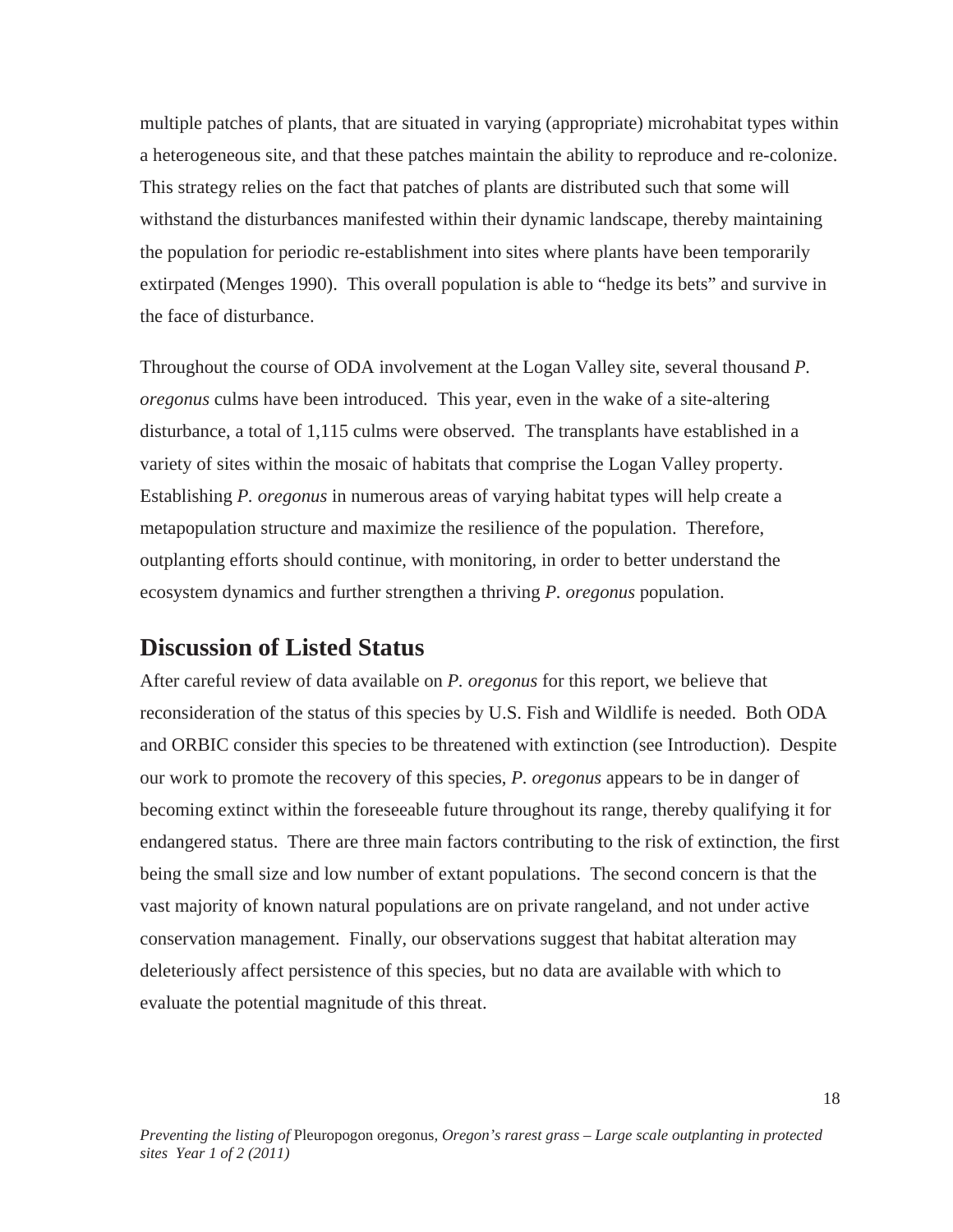multiple patches of plants, that are situated in varying (appropriate) microhabitat types within a heterogeneous site, and that these patches maintain the ability to reproduce and re-colonize. This strategy relies on the fact that patches of plants are distributed such that some will withstand the disturbances manifested within their dynamic landscape, thereby maintaining the population for periodic re-establishment into sites where plants have been temporarily extirpated (Menges 1990). This overall population is able to "hedge its bets" and survive in the face of disturbance.

Throughout the course of ODA involvement at the Logan Valley site, several thousand *P. oregonus* culms have been introduced. This year, even in the wake of a site-altering disturbance, a total of 1,115 culms were observed. The transplants have established in a variety of sites within the mosaic of habitats that comprise the Logan Valley property. Establishing *P. oregonus* in numerous areas of varying habitat types will help create a metapopulation structure and maximize the resilience of the population. Therefore, outplanting efforts should continue, with monitoring, in order to better understand the ecosystem dynamics and further strengthen a thriving *P. oregonus* population.

### **Discussion of Listed Status**

After careful review of data available on *P. oregonus* for this report, we believe that reconsideration of the status of this species by U.S. Fish and Wildlife is needed. Both ODA and ORBIC consider this species to be threatened with extinction (see Introduction). Despite our work to promote the recovery of this species, *P. oregonus* appears to be in danger of becoming extinct within the foreseeable future throughout its range, thereby qualifying it for endangered status. There are three main factors contributing to the risk of extinction, the first being the small size and low number of extant populations. The second concern is that the vast majority of known natural populations are on private rangeland, and not under active conservation management. Finally, our observations suggest that habitat alteration may deleteriously affect persistence of this species, but no data are available with which to evaluate the potential magnitude of this threat.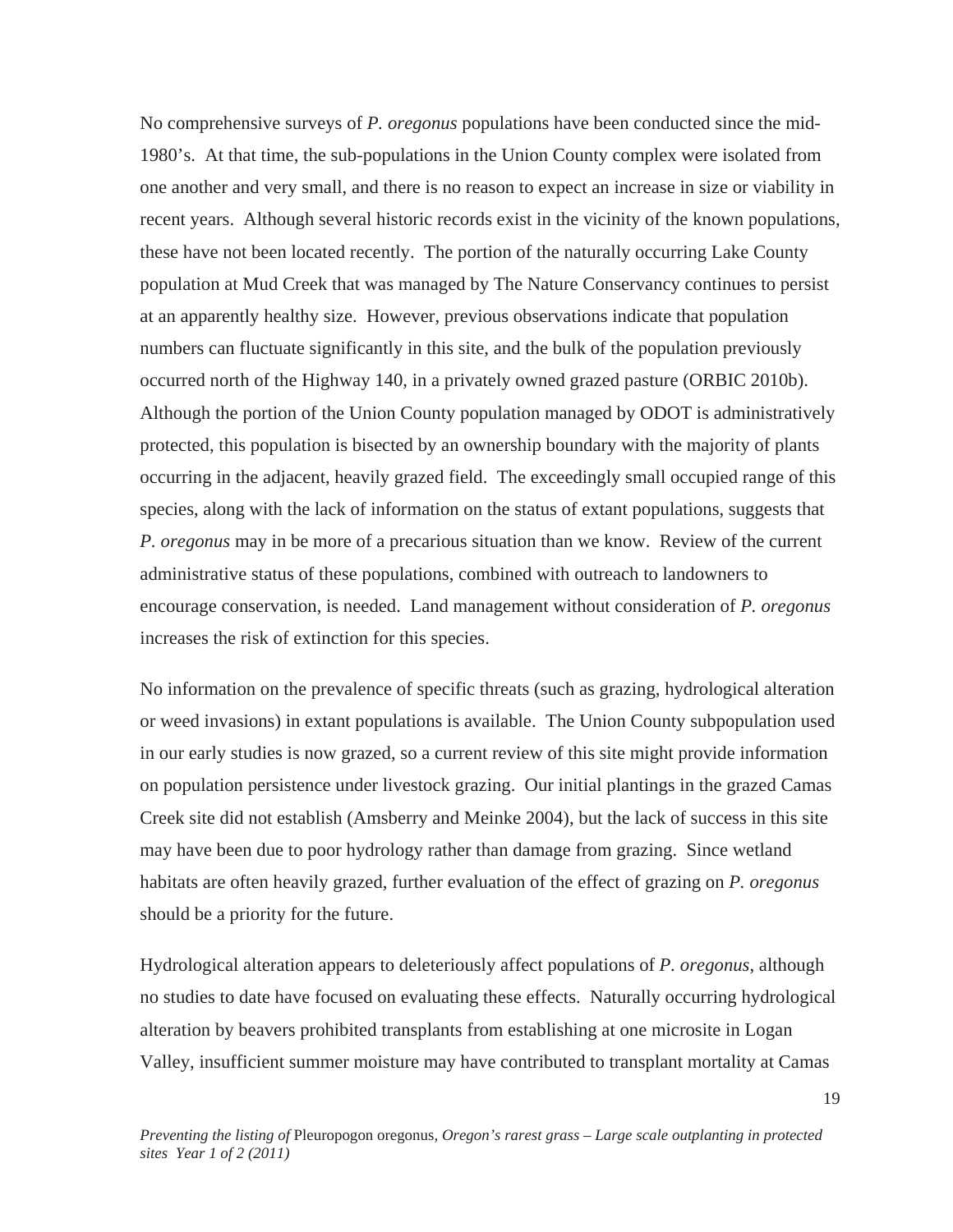No comprehensive surveys of *P. oregonus* populations have been conducted since the mid-1980's. At that time, the sub-populations in the Union County complex were isolated from one another and very small, and there is no reason to expect an increase in size or viability in recent years. Although several historic records exist in the vicinity of the known populations, these have not been located recently. The portion of the naturally occurring Lake County population at Mud Creek that was managed by The Nature Conservancy continues to persist at an apparently healthy size. However, previous observations indicate that population numbers can fluctuate significantly in this site, and the bulk of the population previously occurred north of the Highway 140, in a privately owned grazed pasture (ORBIC 2010b). Although the portion of the Union County population managed by ODOT is administratively protected, this population is bisected by an ownership boundary with the majority of plants occurring in the adjacent, heavily grazed field. The exceedingly small occupied range of this species, along with the lack of information on the status of extant populations, suggests that *P. oregonus* may in be more of a precarious situation than we know. Review of the current administrative status of these populations, combined with outreach to landowners to encourage conservation, is needed. Land management without consideration of *P. oregonus* increases the risk of extinction for this species.

No information on the prevalence of specific threats (such as grazing, hydrological alteration or weed invasions) in extant populations is available. The Union County subpopulation used in our early studies is now grazed, so a current review of this site might provide information on population persistence under livestock grazing. Our initial plantings in the grazed Camas Creek site did not establish (Amsberry and Meinke 2004), but the lack of success in this site may have been due to poor hydrology rather than damage from grazing. Since wetland habitats are often heavily grazed, further evaluation of the effect of grazing on *P. oregonus* should be a priority for the future.

Hydrological alteration appears to deleteriously affect populations of *P. oregonus*, although no studies to date have focused on evaluating these effects. Naturally occurring hydrological alteration by beavers prohibited transplants from establishing at one microsite in Logan Valley, insufficient summer moisture may have contributed to transplant mortality at Camas

19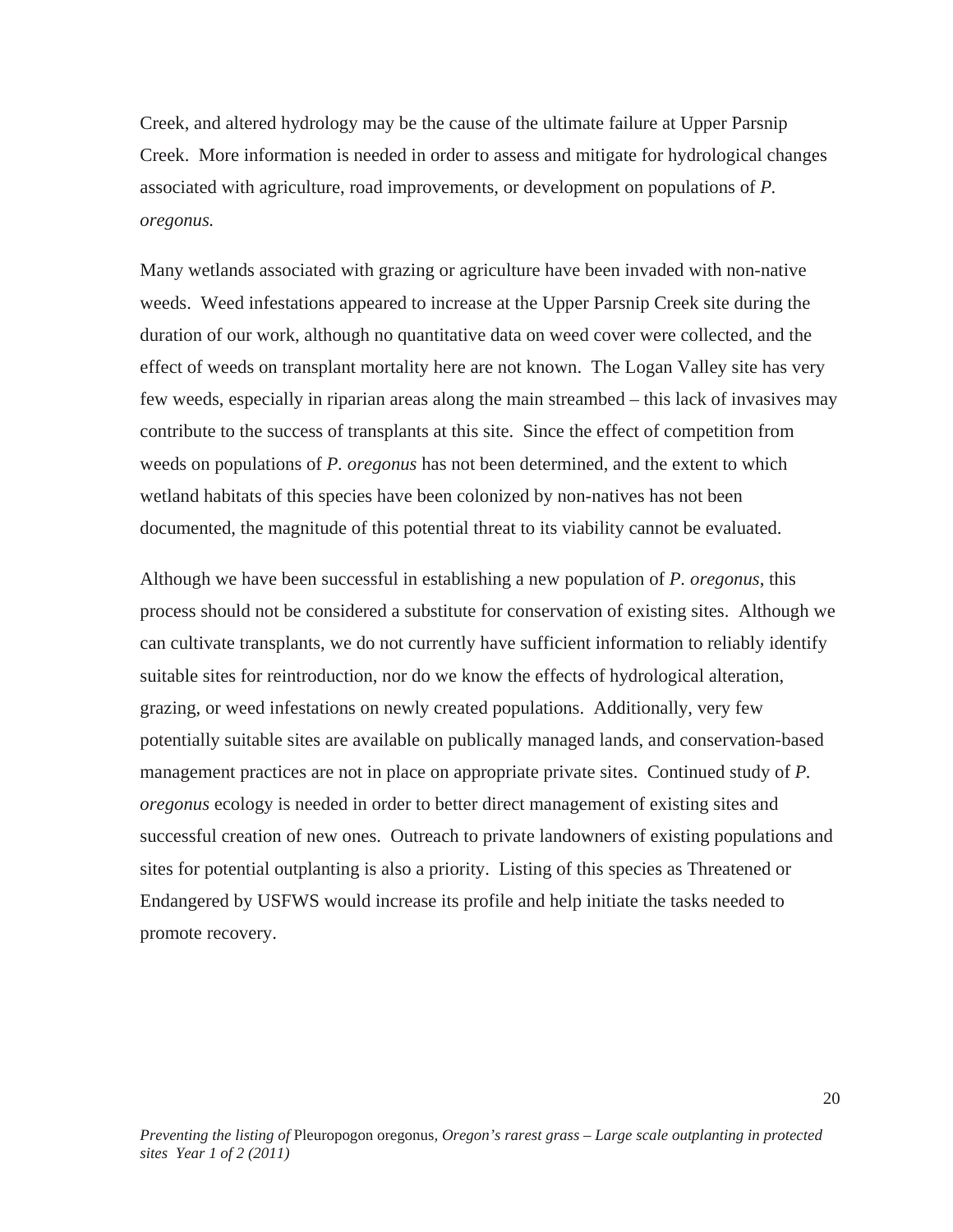Creek, and altered hydrology may be the cause of the ultimate failure at Upper Parsnip Creek. More information is needed in order to assess and mitigate for hydrological changes associated with agriculture, road improvements, or development on populations of *P. oregonus.* 

Many wetlands associated with grazing or agriculture have been invaded with non-native weeds. Weed infestations appeared to increase at the Upper Parsnip Creek site during the duration of our work, although no quantitative data on weed cover were collected, and the effect of weeds on transplant mortality here are not known. The Logan Valley site has very few weeds, especially in riparian areas along the main streambed – this lack of invasives may contribute to the success of transplants at this site. Since the effect of competition from weeds on populations of *P. oregonus* has not been determined, and the extent to which wetland habitats of this species have been colonized by non-natives has not been documented, the magnitude of this potential threat to its viability cannot be evaluated.

Although we have been successful in establishing a new population of *P. oregonus*, this process should not be considered a substitute for conservation of existing sites. Although we can cultivate transplants, we do not currently have sufficient information to reliably identify suitable sites for reintroduction, nor do we know the effects of hydrological alteration, grazing, or weed infestations on newly created populations. Additionally, very few potentially suitable sites are available on publically managed lands, and conservation-based management practices are not in place on appropriate private sites. Continued study of *P. oregonus* ecology is needed in order to better direct management of existing sites and successful creation of new ones. Outreach to private landowners of existing populations and sites for potential outplanting is also a priority. Listing of this species as Threatened or Endangered by USFWS would increase its profile and help initiate the tasks needed to promote recovery.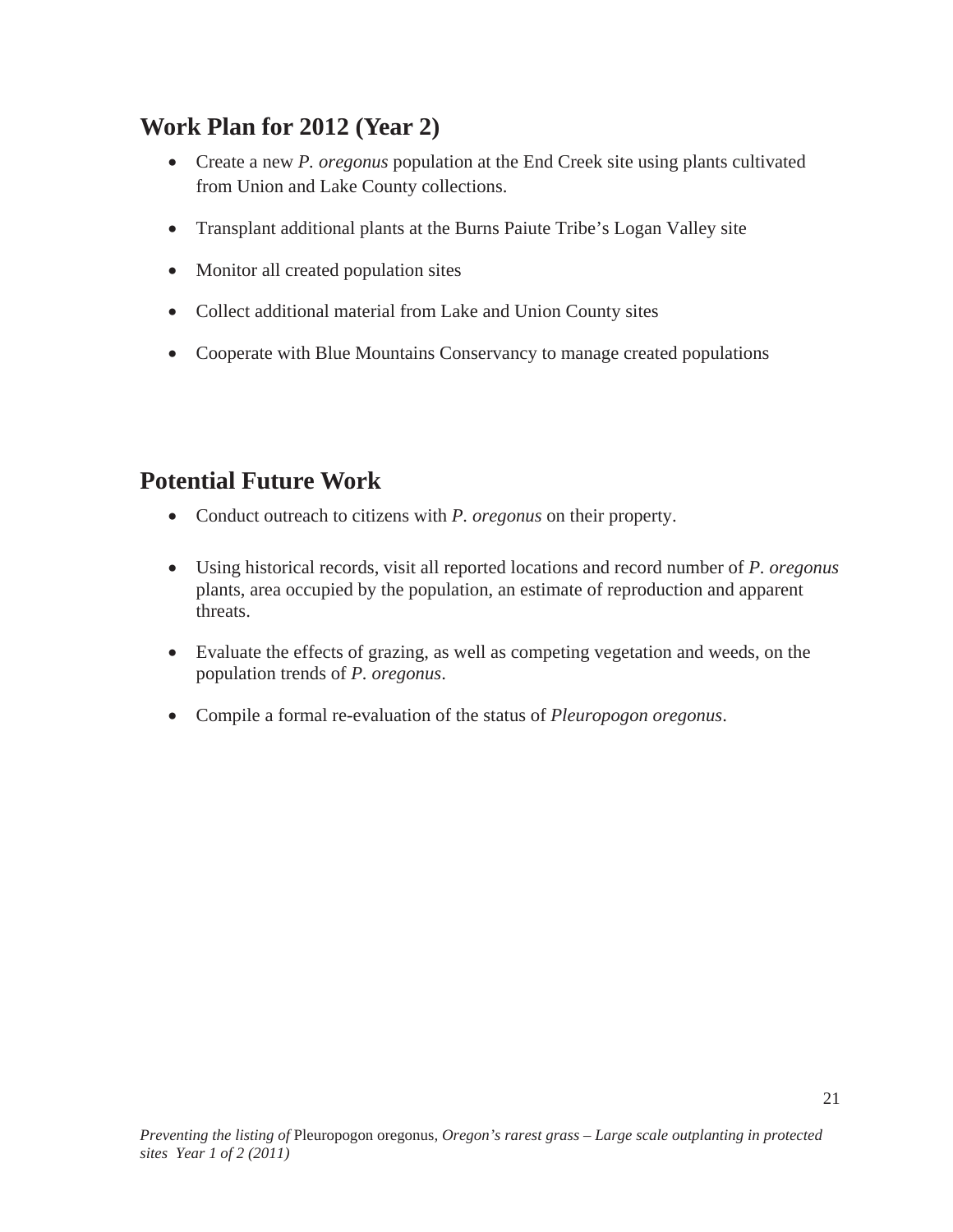# **Work Plan for 2012 (Year 2)**

- Create a new *P. oregonus* population at the End Creek site using plants cultivated from Union and Lake County collections.
- Transplant additional plants at the Burns Paiute Tribe's Logan Valley site
- Monitor all created population sites
- Collect additional material from Lake and Union County sites
- Cooperate with Blue Mountains Conservancy to manage created populations

# **Potential Future Work**

- Conduct outreach to citizens with *P. oregonus* on their property.
- Using historical records, visit all reported locations and record number of *P. oregonus* plants, area occupied by the population, an estimate of reproduction and apparent threats.
- $\bullet$  Evaluate the effects of grazing, as well as competing vegetation and weeds, on the population trends of *P. oregonus*.
- x Compile a formal re-evaluation of the status of *Pleuropogon oregonus*.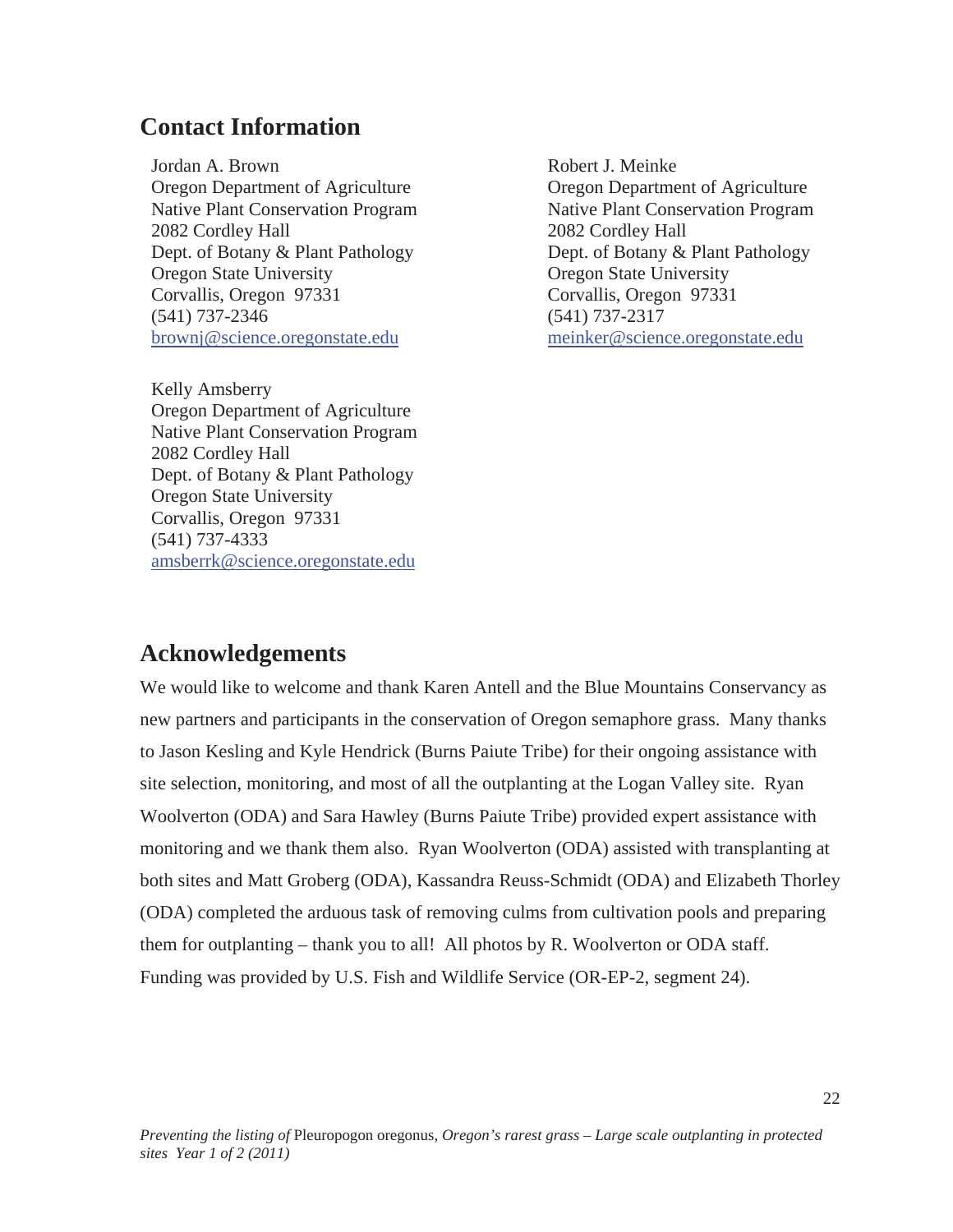### **Contact Information**

Jordan A. Brown Oregon Department of Agriculture Native Plant Conservation Program 2082 Cordley Hall Dept. of Botany & Plant Pathology Oregon State University Corvallis, Oregon 97331 (541) 737-2346 brownj@science.oregonstate.edu

Robert J. Meinke Oregon Department of Agriculture Native Plant Conservation Program 2082 Cordley Hall Dept. of Botany & Plant Pathology Oregon State University Corvallis, Oregon 97331 (541) 737-2317 meinker@science.oregonstate.edu

22

Kelly Amsberry Oregon Department of Agriculture Native Plant Conservation Program 2082 Cordley Hall Dept. of Botany & Plant Pathology Oregon State University Corvallis, Oregon 97331 (541) 737-4333 amsberrk@science.oregonstate.edu

### **Acknowledgements**

We would like to welcome and thank Karen Antell and the Blue Mountains Conservancy as new partners and participants in the conservation of Oregon semaphore grass. Many thanks to Jason Kesling and Kyle Hendrick (Burns Paiute Tribe) for their ongoing assistance with site selection, monitoring, and most of all the outplanting at the Logan Valley site. Ryan Woolverton (ODA) and Sara Hawley (Burns Paiute Tribe) provided expert assistance with monitoring and we thank them also. Ryan Woolverton (ODA) assisted with transplanting at both sites and Matt Groberg (ODA), Kassandra Reuss-Schmidt (ODA) and Elizabeth Thorley (ODA) completed the arduous task of removing culms from cultivation pools and preparing them for outplanting – thank you to all! All photos by R. Woolverton or ODA staff. Funding was provided by U.S. Fish and Wildlife Service (OR-EP-2, segment 24).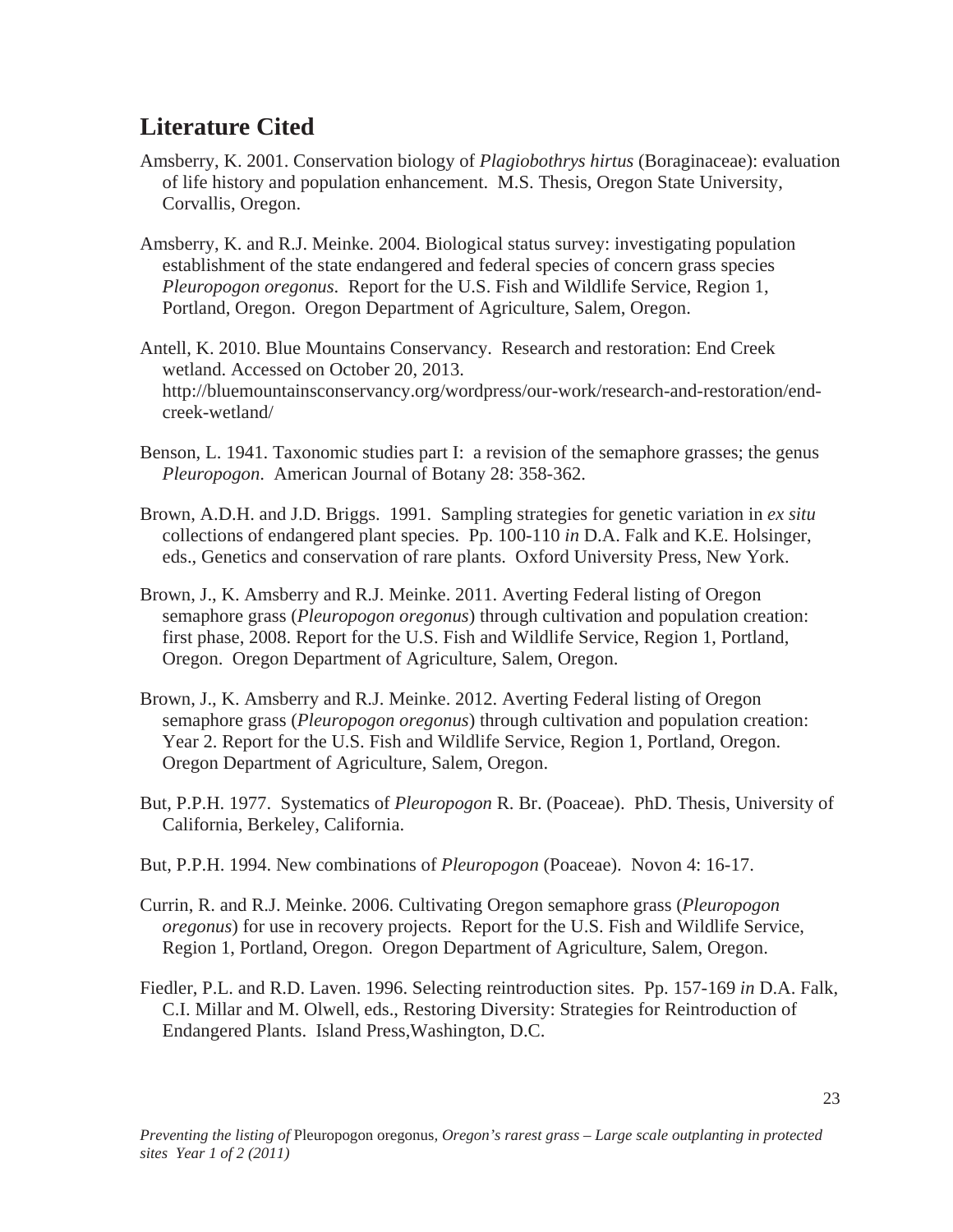# **Literature Cited**

- Amsberry, K. 2001. Conservation biology of *Plagiobothrys hirtus* (Boraginaceae): evaluation of life history and population enhancement. M.S. Thesis, Oregon State University, Corvallis, Oregon.
- Amsberry, K. and R.J. Meinke. 2004. Biological status survey: investigating population establishment of the state endangered and federal species of concern grass species *Pleuropogon oregonus*. Report for the U.S. Fish and Wildlife Service, Region 1, Portland, Oregon. Oregon Department of Agriculture, Salem, Oregon.
- Antell, K. 2010. Blue Mountains Conservancy. Research and restoration: End Creek wetland. Accessed on October 20, 2013. http://bluemountainsconservancy.org/wordpress/our-work/research-and-restoration/endcreek-wetland/
- Benson, L. 1941. Taxonomic studies part I: a revision of the semaphore grasses; the genus *Pleuropogon*. American Journal of Botany 28: 358-362.
- Brown, A.D.H. and J.D. Briggs. 1991. Sampling strategies for genetic variation in *ex situ* collections of endangered plant species. Pp. 100-110 *in* D.A. Falk and K.E. Holsinger, eds., Genetics and conservation of rare plants. Oxford University Press, New York.
- Brown, J., K. Amsberry and R.J. Meinke. 2011. Averting Federal listing of Oregon semaphore grass (*Pleuropogon oregonus*) through cultivation and population creation: first phase, 2008. Report for the U.S. Fish and Wildlife Service, Region 1, Portland, Oregon. Oregon Department of Agriculture, Salem, Oregon.
- Brown, J., K. Amsberry and R.J. Meinke. 2012. Averting Federal listing of Oregon semaphore grass (*Pleuropogon oregonus*) through cultivation and population creation: Year 2. Report for the U.S. Fish and Wildlife Service, Region 1, Portland, Oregon. Oregon Department of Agriculture, Salem, Oregon.
- But, P.P.H. 1977. Systematics of *Pleuropogon* R. Br. (Poaceae). PhD. Thesis, University of California, Berkeley, California.
- But, P.P.H. 1994. New combinations of *Pleuropogon* (Poaceae). Novon 4: 16-17.
- Currin, R. and R.J. Meinke. 2006. Cultivating Oregon semaphore grass (*Pleuropogon oregonus*) for use in recovery projects. Report for the U.S. Fish and Wildlife Service, Region 1, Portland, Oregon. Oregon Department of Agriculture, Salem, Oregon.
- Fiedler, P.L. and R.D. Laven. 1996. Selecting reintroduction sites. Pp. 157-169 *in* D.A. Falk, C.I. Millar and M. Olwell, eds., Restoring Diversity: Strategies for Reintroduction of Endangered Plants. Island Press,Washington, D.C.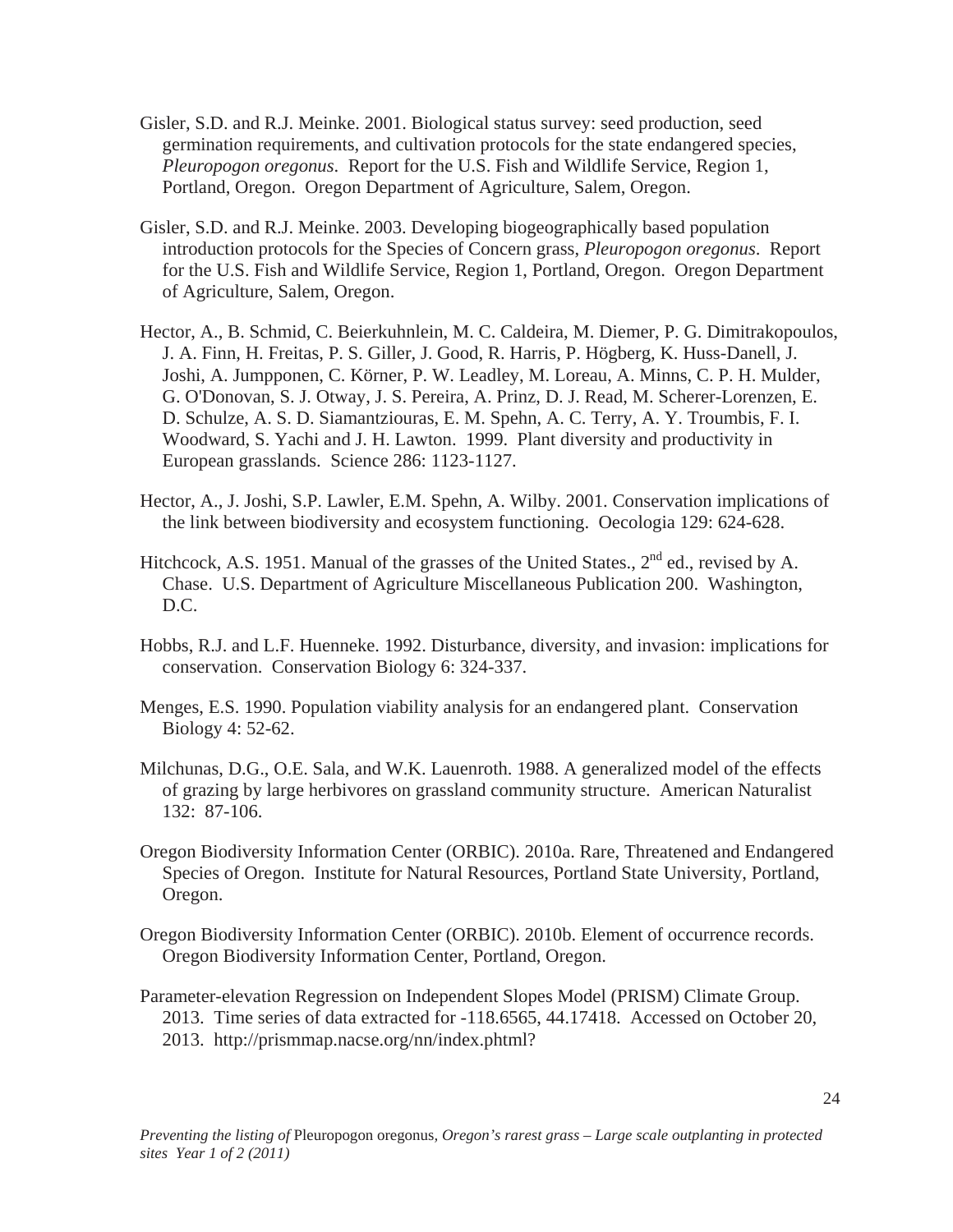- Gisler, S.D. and R.J. Meinke. 2001. Biological status survey: seed production, seed germination requirements, and cultivation protocols for the state endangered species, *Pleuropogon oregonus*. Report for the U.S. Fish and Wildlife Service, Region 1, Portland, Oregon. Oregon Department of Agriculture, Salem, Oregon.
- Gisler, S.D. and R.J. Meinke. 2003. Developing biogeographically based population introduction protocols for the Species of Concern grass, *Pleuropogon oregonus*. Report for the U.S. Fish and Wildlife Service, Region 1, Portland, Oregon. Oregon Department of Agriculture, Salem, Oregon.
- Hector, A., B. Schmid, C. Beierkuhnlein, M. C. Caldeira, M. Diemer, P. G. Dimitrakopoulos, J. A. Finn, H. Freitas, P. S. Giller, J. Good, R. Harris, P. Högberg, K. Huss-Danell, J. Joshi, A. Jumpponen, C. Körner, P. W. Leadley, M. Loreau, A. Minns, C. P. H. Mulder, G. O'Donovan, S. J. Otway, J. S. Pereira, A. Prinz, D. J. Read, M. Scherer-Lorenzen, E. D. Schulze, A. S. D. Siamantziouras, E. M. Spehn, A. C. Terry, A. Y. Troumbis, F. I. Woodward, S. Yachi and J. H. Lawton. 1999. Plant diversity and productivity in European grasslands. Science 286: 1123-1127.
- Hector, A., J. Joshi, S.P. Lawler, E.M. Spehn, A. Wilby. 2001. Conservation implications of the link between biodiversity and ecosystem functioning. Oecologia 129: 624-628.
- Hitchcock, A.S. 1951. Manual of the grasses of the United States.,  $2<sup>nd</sup>$  ed., revised by A. Chase. U.S. Department of Agriculture Miscellaneous Publication 200. Washington, D.C.
- Hobbs, R.J. and L.F. Huenneke. 1992. Disturbance, diversity, and invasion: implications for conservation. Conservation Biology 6: 324-337.
- Menges, E.S. 1990. Population viability analysis for an endangered plant. Conservation Biology 4: 52-62.
- Milchunas, D.G., O.E. Sala, and W.K. Lauenroth. 1988. A generalized model of the effects of grazing by large herbivores on grassland community structure. American Naturalist 132: 87-106.
- Oregon Biodiversity Information Center (ORBIC). 2010a. Rare, Threatened and Endangered Species of Oregon. Institute for Natural Resources, Portland State University, Portland, Oregon.
- Oregon Biodiversity Information Center (ORBIC). 2010b. Element of occurrence records. Oregon Biodiversity Information Center, Portland, Oregon.
- Parameter-elevation Regression on Independent Slopes Model (PRISM) Climate Group. 2013. Time series of data extracted for -118.6565, 44.17418. Accessed on October 20, 2013. http://prismmap.nacse.org/nn/index.phtml?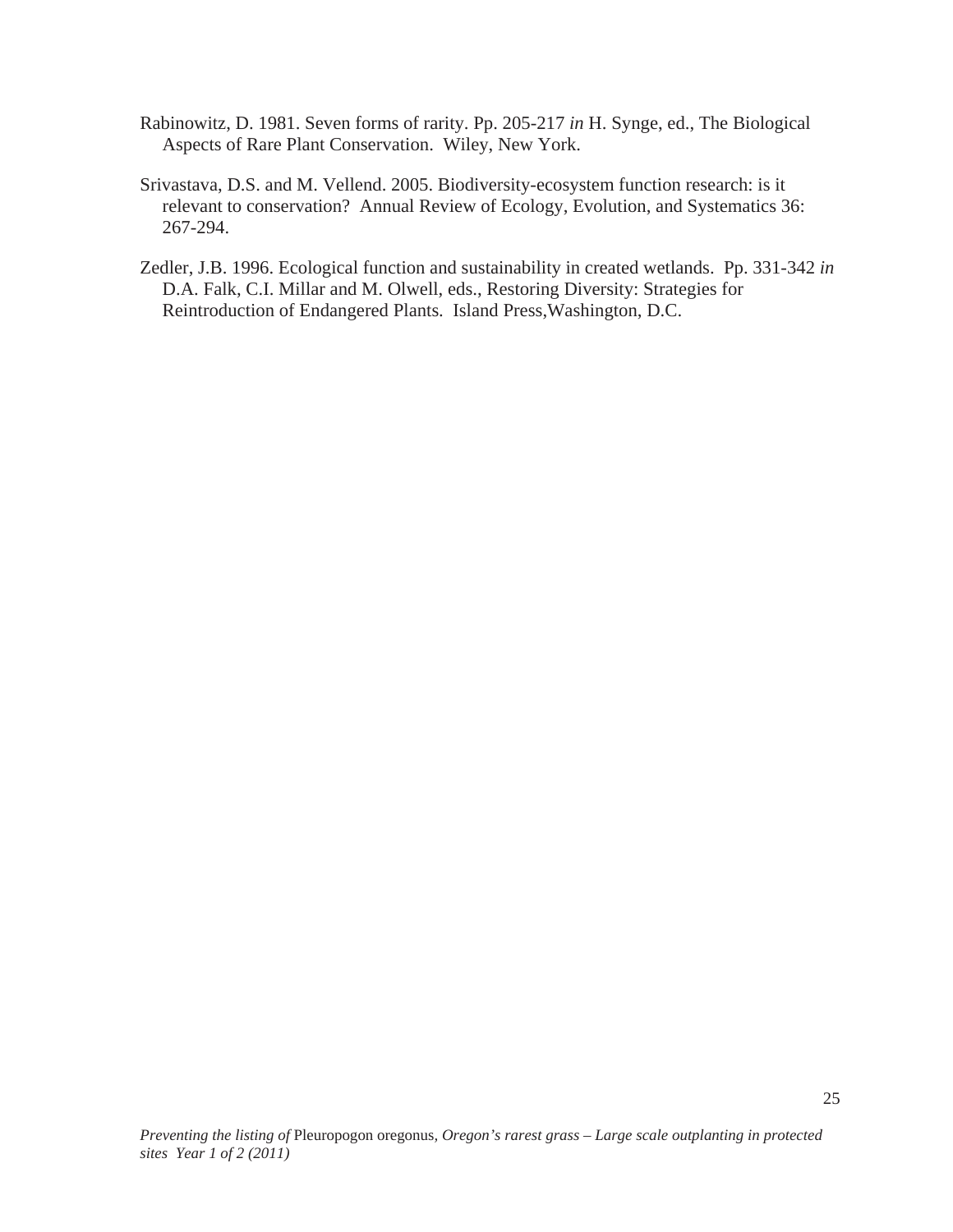- Rabinowitz, D. 1981. Seven forms of rarity. Pp. 205-217 *in* H. Synge, ed., The Biological Aspects of Rare Plant Conservation. Wiley, New York.
- Srivastava, D.S. and M. Vellend. 2005. Biodiversity-ecosystem function research: is it relevant to conservation? Annual Review of Ecology, Evolution, and Systematics 36: 267-294.
- Zedler, J.B. 1996. Ecological function and sustainability in created wetlands. Pp. 331-342 *in* D.A. Falk, C.I. Millar and M. Olwell, eds., Restoring Diversity: Strategies for Reintroduction of Endangered Plants. Island Press,Washington, D.C.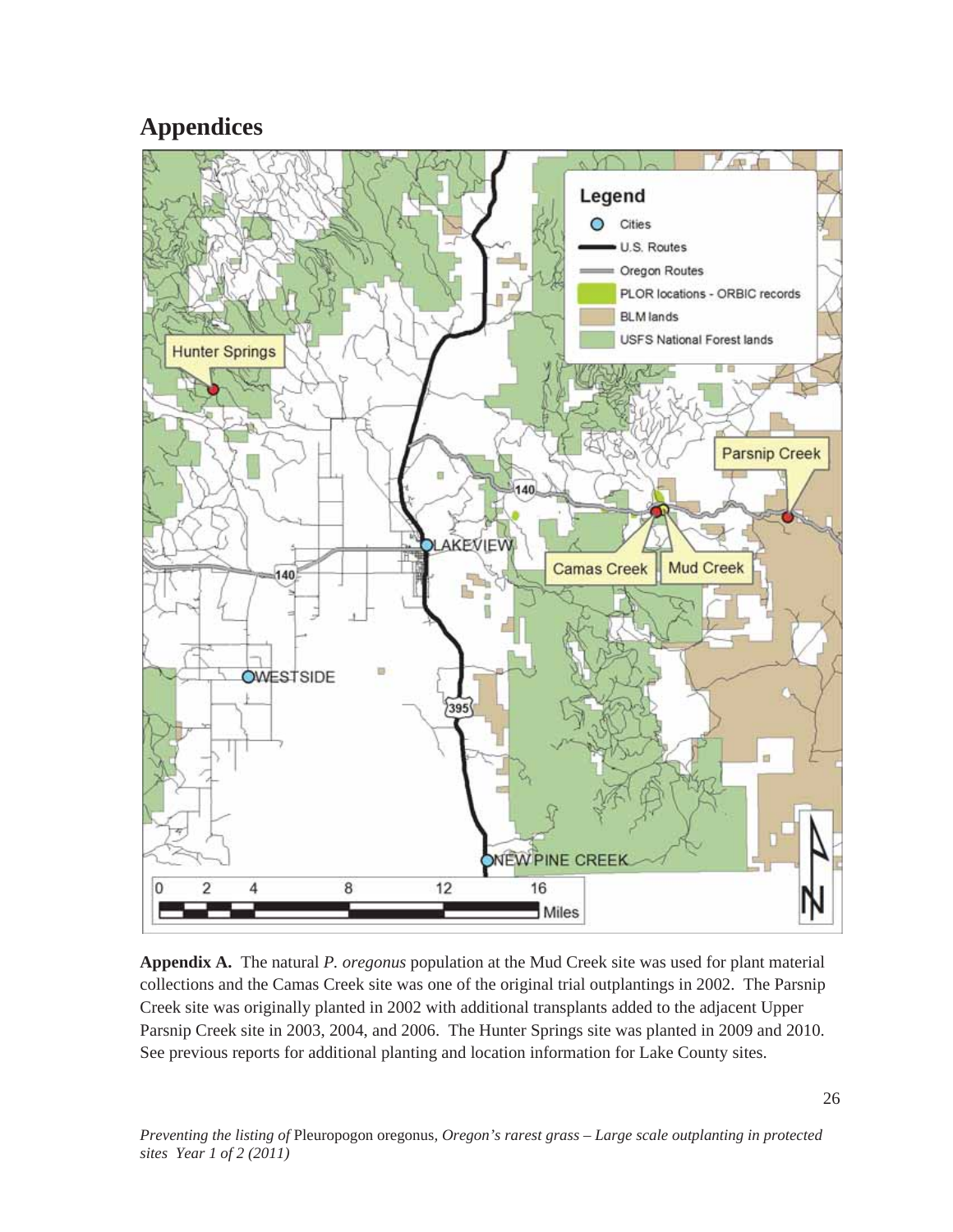# **Appendices**



**Appendix A.** The natural *P. oregonus* population at the Mud Creek site was used for plant material collections and the Camas Creek site was one of the original trial outplantings in 2002. The Parsnip Creek site was originally planted in 2002 with additional transplants added to the adjacent Upper Parsnip Creek site in 2003, 2004, and 2006. The Hunter Springs site was planted in 2009 and 2010. See previous reports for additional planting and location information for Lake County sites.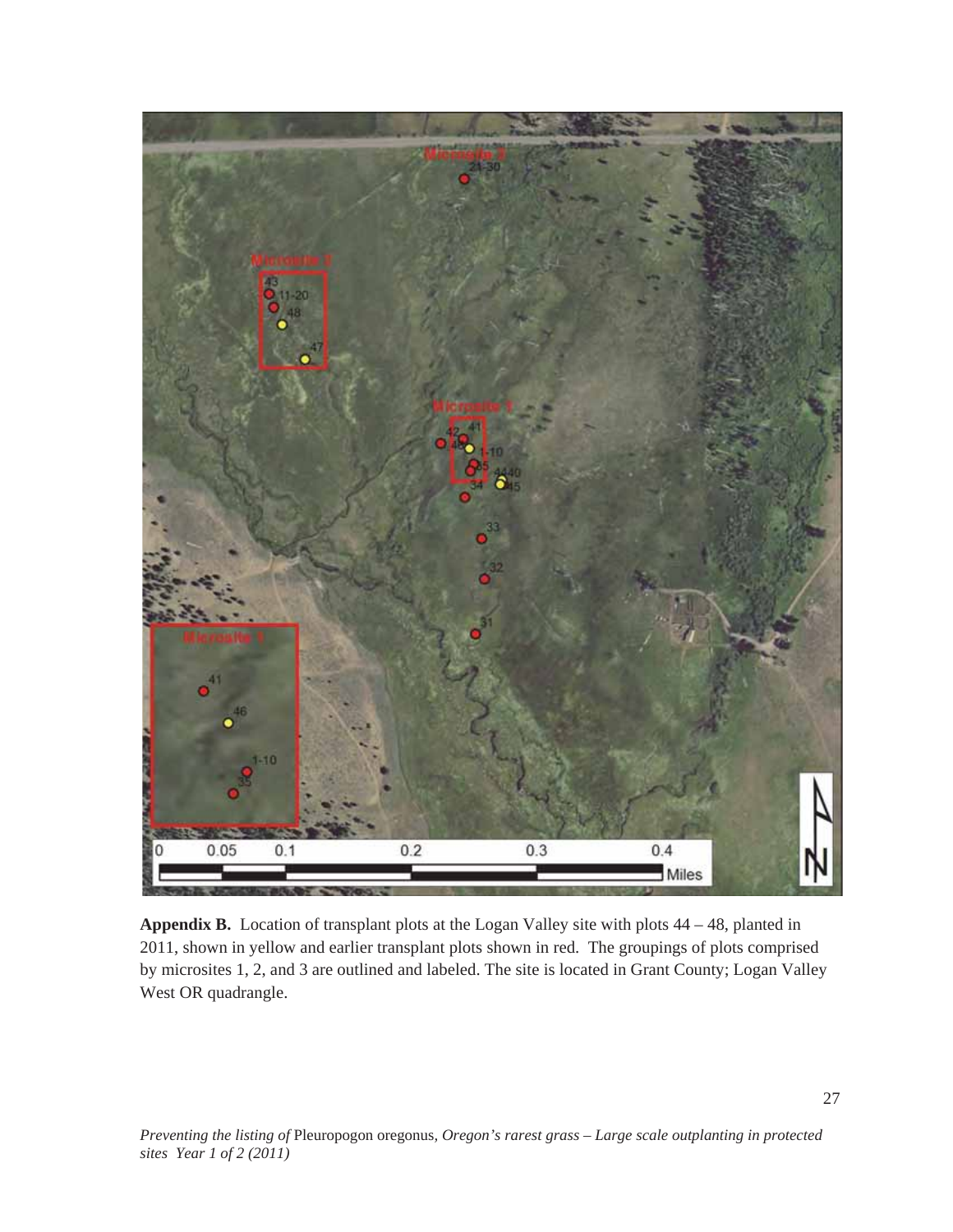

**Appendix B.** Location of transplant plots at the Logan Valley site with plots 44 – 48, planted in 2011, shown in yellow and earlier transplant plots shown in red. The groupings of plots comprised by microsites 1, 2, and 3 are outlined and labeled. The site is located in Grant County; Logan Valley West OR quadrangle.